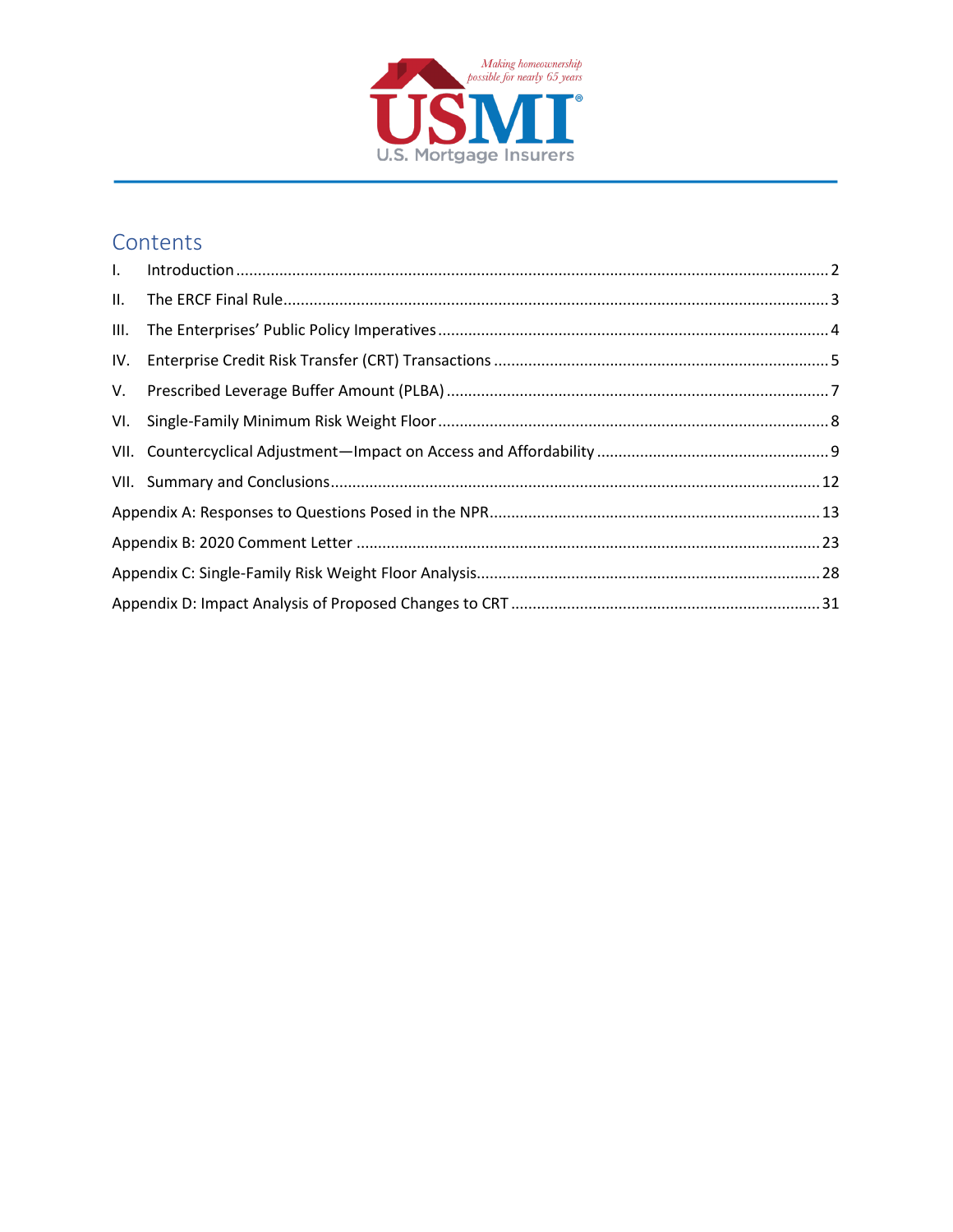

# Contents

| IV. |  |  |  |  |  |  |
|-----|--|--|--|--|--|--|
|     |  |  |  |  |  |  |
|     |  |  |  |  |  |  |
|     |  |  |  |  |  |  |
|     |  |  |  |  |  |  |
|     |  |  |  |  |  |  |
|     |  |  |  |  |  |  |
|     |  |  |  |  |  |  |
|     |  |  |  |  |  |  |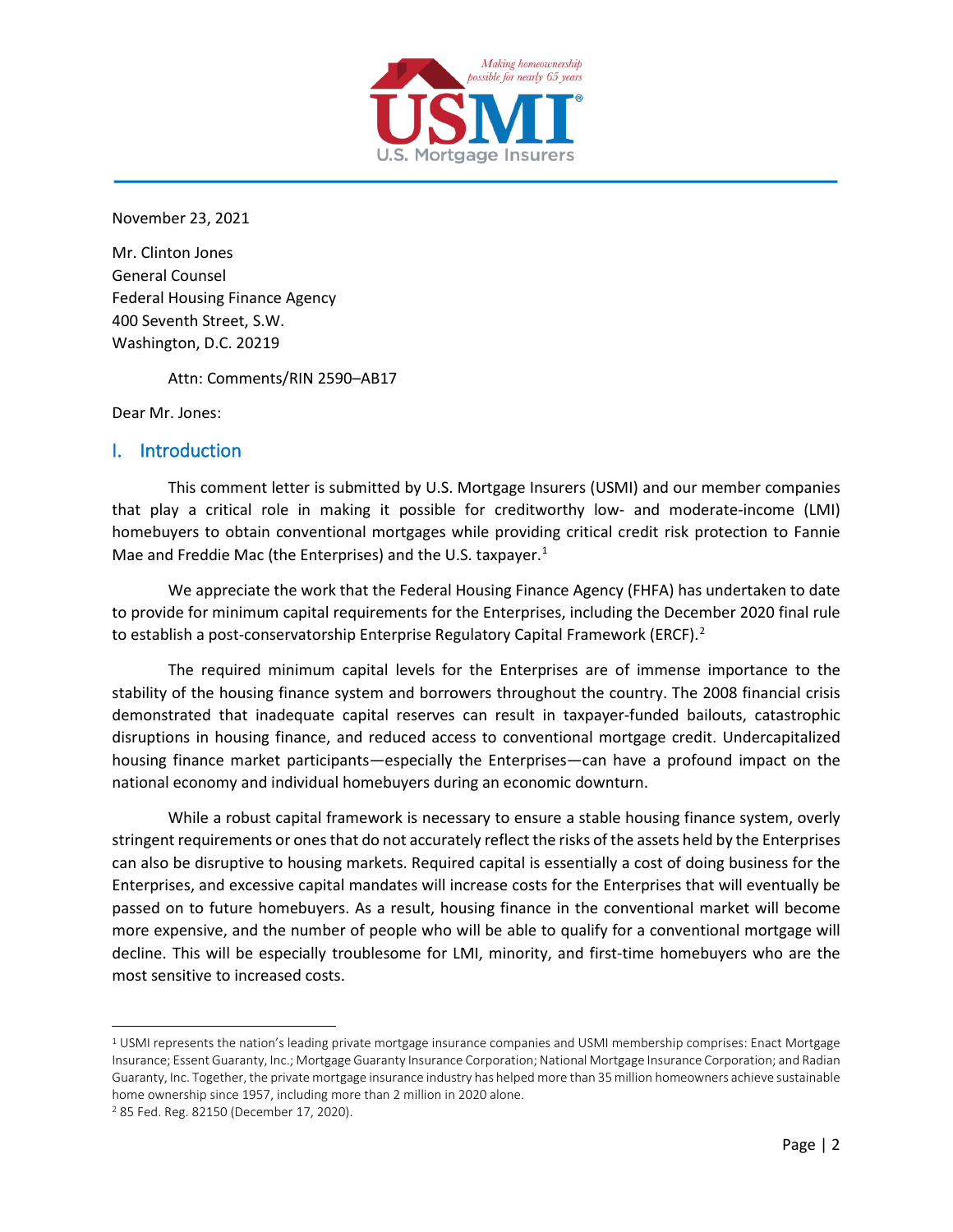

November 23, 2021

Mr. Clinton Jones General Counsel Federal Housing Finance Agency 400 Seventh Street, S.W. Washington, D.C. 20219

Attn: Comments/RIN 2590–AB17

Dear Mr. Jones:

#### <span id="page-1-0"></span>I. Introduction

This comment letter is submitted by U.S. Mortgage Insurers (USMI) and our member companies that play a critical role in making it possible for creditworthy low- and moderate-income (LMI) homebuyers to obtain conventional mortgages while providing critical credit risk protection to Fannie Mae and Freddie Mac (the Enterprises) and the U.S. taxpayer. $<sup>1</sup>$  $<sup>1</sup>$  $<sup>1</sup>$ </sup>

We appreciate the work that the Federal Housing Finance Agency (FHFA) has undertaken to date to provide for minimum capital requirements for the Enterprises, including the December 2020 final rule to establish a post-conservatorship Enterprise Regulatory Capital Framework (ERCF).<sup>[2](#page-1-2)</sup>

The required minimum capital levels for the Enterprises are of immense importance to the stability of the housing finance system and borrowers throughout the country. The 2008 financial crisis demonstrated that inadequate capital reserves can result in taxpayer-funded bailouts, catastrophic disruptions in housing finance, and reduced access to conventional mortgage credit. Undercapitalized housing finance market participants—especially the Enterprises—can have a profound impact on the national economy and individual homebuyers during an economic downturn.

While a robust capital framework is necessary to ensure a stable housing finance system, overly stringent requirements or onesthat do not accurately reflect the risks of the assets held by the Enterprises can also be disruptive to housing markets. Required capital is essentially a cost of doing business for the Enterprises, and excessive capital mandates will increase costs for the Enterprises that will eventually be passed on to future homebuyers. As a result, housing finance in the conventional market will become more expensive, and the number of people who will be able to qualify for a conventional mortgage will decline. This will be especially troublesome for LMI, minority, and first-time homebuyers who are the most sensitive to increased costs.

<span id="page-1-1"></span><sup>1</sup> USMI represents the nation's leading private mortgage insurance companies and USMI membership comprises: Enact Mortgage Insurance; Essent Guaranty, Inc.; Mortgage Guaranty Insurance Corporation; National Mortgage Insurance Corporation; and Radian Guaranty, Inc. Together, the private mortgage insurance industry has helped more than 35 million homeowners achieve sustainable home ownership since 1957, including more than 2 million in 2020 alone.

<span id="page-1-2"></span><sup>2</sup> 85 Fed. Reg. 82150 (December 17, 2020).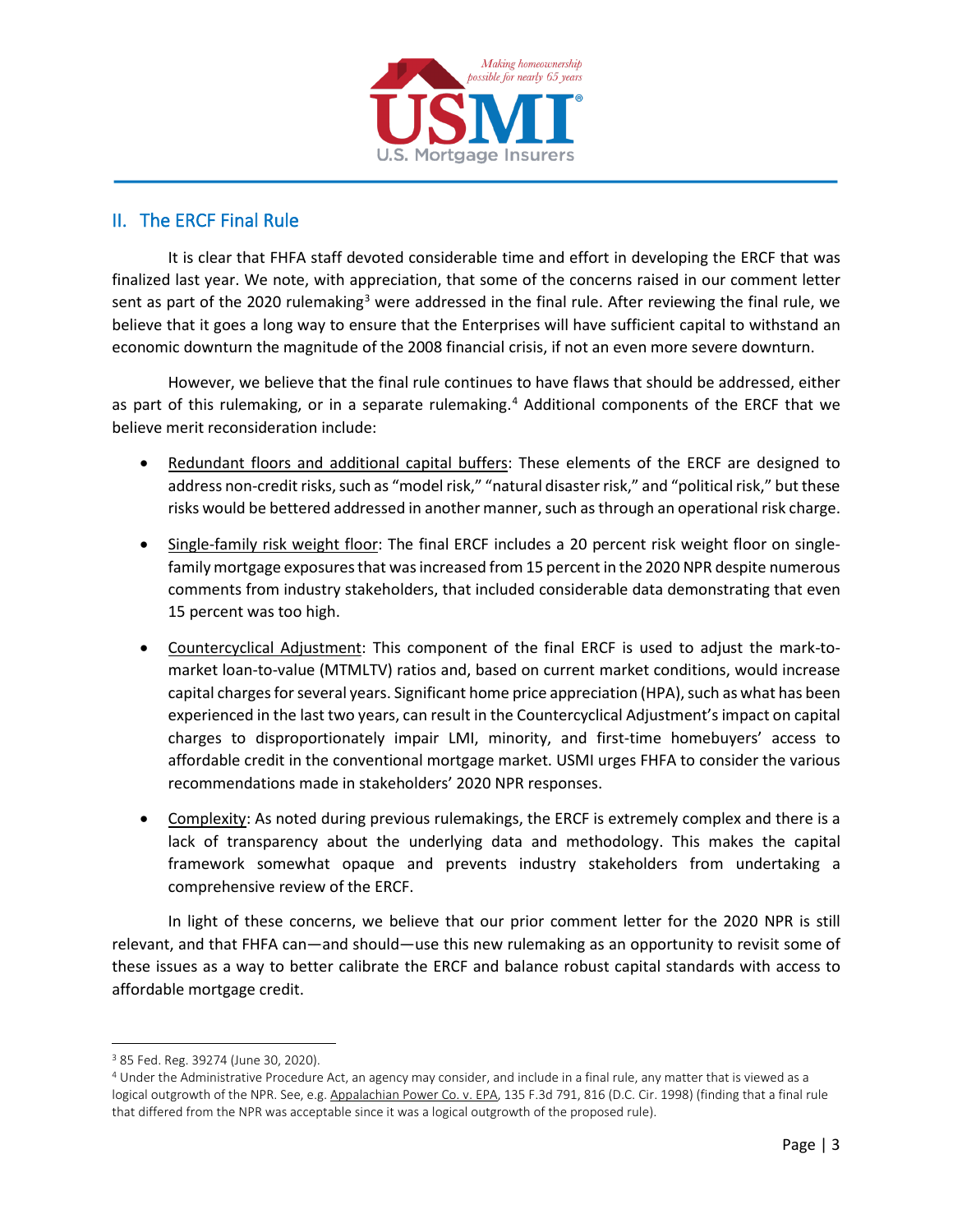

# <span id="page-2-0"></span>II. The ERCF Final Rule

It is clear that FHFA staff devoted considerable time and effort in developing the ERCF that was finalized last year. We note, with appreciation, that some of the concerns raised in our comment letter sent as part of the 2020 rulemaking<sup>[3](#page-2-1)</sup> were addressed in the final rule. After reviewing the final rule, we believe that it goes a long way to ensure that the Enterprises will have sufficient capital to withstand an economic downturn the magnitude of the 2008 financial crisis, if not an even more severe downturn.

However, we believe that the final rule continues to have flaws that should be addressed, either as part of this rulemaking, or in a separate rulemaking.<sup>[4](#page-2-2)</sup> Additional components of the ERCF that we believe merit reconsideration include:

- Redundant floors and additional capital buffers: These elements of the ERCF are designed to address non-credit risks, such as "model risk," "natural disaster risk," and "political risk," but these risks would be bettered addressed in another manner, such as through an operational risk charge.
- Single-family risk weight floor: The final ERCF includes a 20 percent risk weight floor on singlefamily mortgage exposures that was increased from 15 percent in the 2020 NPR despite numerous comments from industry stakeholders, that included considerable data demonstrating that even 15 percent was too high.
- Countercyclical Adjustment: This component of the final ERCF is used to adjust the mark-tomarket loan-to-value (MTMLTV) ratios and, based on current market conditions, would increase capital charges for several years. Significant home price appreciation (HPA), such as what has been experienced in the last two years, can result in the Countercyclical Adjustment's impact on capital charges to disproportionately impair LMI, minority, and first-time homebuyers' access to affordable credit in the conventional mortgage market. USMI urges FHFA to consider the various recommendations made in stakeholders' 2020 NPR responses.
- Complexity: As noted during previous rulemakings, the ERCF is extremely complex and there is a lack of transparency about the underlying data and methodology. This makes the capital framework somewhat opaque and prevents industry stakeholders from undertaking a comprehensive review of the ERCF.

In light of these concerns, we believe that our prior comment letter for the 2020 NPR is still relevant, and that FHFA can—and should—use this new rulemaking as an opportunity to revisit some of these issues as a way to better calibrate the ERCF and balance robust capital standards with access to affordable mortgage credit.

<span id="page-2-1"></span><sup>3</sup> 85 Fed. Reg. 39274 (June 30, 2020).

<span id="page-2-2"></span><sup>4</sup> Under the Administrative Procedure Act, an agency may consider, and include in a final rule, any matter that is viewed as a logical outgrowth of the NPR. See, e.g. Appalachian Power Co. v. EPA, 135 F.3d 791, 816 (D.C. Cir. 1998) (finding that a final rule that differed from the NPR was acceptable since it was a logical outgrowth of the proposed rule).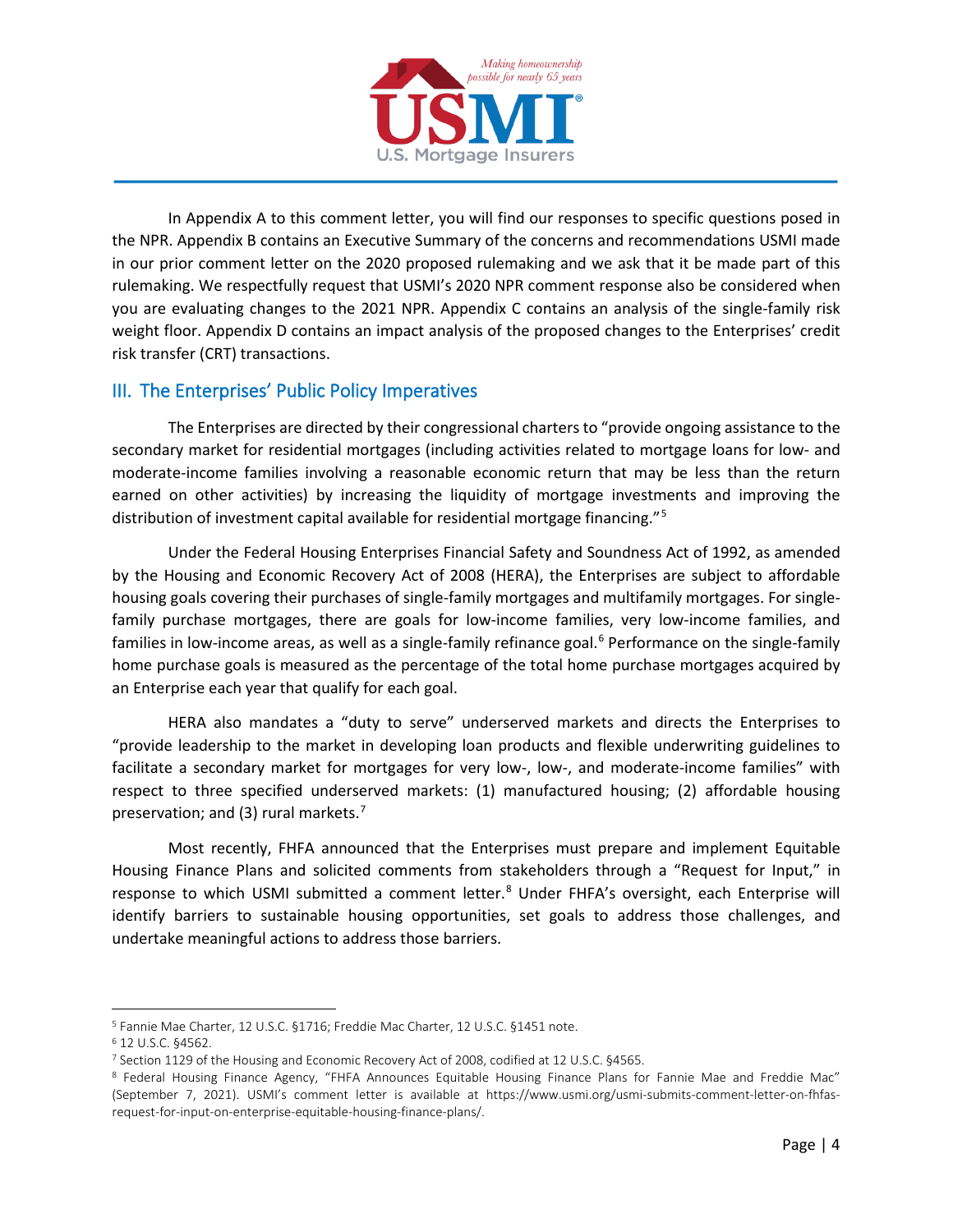

In Appendix A to this comment letter, you will find our responses to specific questions posed in the NPR. Appendix B contains an Executive Summary of the concerns and recommendations USMI made in our prior comment letter on the 2020 proposed rulemaking and we ask that it be made part of this rulemaking. We respectfully request that USMI's 2020 NPR comment response also be considered when you are evaluating changes to the 2021 NPR. Appendix C contains an analysis of the single-family risk weight floor. Appendix D contains an impact analysis of the proposed changes to the Enterprises' credit risk transfer (CRT) transactions.

# <span id="page-3-0"></span>III. The Enterprises' Public Policy Imperatives

The Enterprises are directed by their congressional charters to "provide ongoing assistance to the secondary market for residential mortgages (including activities related to mortgage loans for low- and moderate-income families involving a reasonable economic return that may be less than the return earned on other activities) by increasing the liquidity of mortgage investments and improving the distribution of investment capital available for residential mortgage financing."[5](#page-3-1)

Under the Federal Housing Enterprises Financial Safety and Soundness Act of 1992, as amended by the Housing and Economic Recovery Act of 2008 (HERA), the Enterprises are subject to affordable housing goals covering their purchases of single-family mortgages and multifamily mortgages. For singlefamily purchase mortgages, there are goals for low-income families, very low-income families, and families in low-income areas, as well as a single-family refinance goal.<sup>[6](#page-3-2)</sup> Performance on the single-family home purchase goals is measured as the percentage of the total home purchase mortgages acquired by an Enterprise each year that qualify for each goal.

HERA also mandates a "duty to serve" underserved markets and directs the Enterprises to "provide leadership to the market in developing loan products and flexible underwriting guidelines to facilitate a secondary market for mortgages for very low-, low-, and moderate-income families" with respect to three specified underserved markets: (1) manufactured housing; (2) affordable housing preservation; and (3) rural markets.<sup>[7](#page-3-3)</sup>

Most recently, FHFA announced that the Enterprises must prepare and implement Equitable Housing Finance Plans and solicited comments from stakeholders through a "Request for Input," in response to which USMI submitted a comment letter.<sup>[8](#page-3-4)</sup> Under FHFA's oversight, each Enterprise will identify barriers to sustainable housing opportunities, set goals to address those challenges, and undertake meaningful actions to address those barriers.

<span id="page-3-1"></span><sup>5</sup> Fannie Mae Charter, 12 U.S.C. §1716; Freddie Mac Charter, 12 U.S.C. §1451 note.

<span id="page-3-2"></span><sup>6</sup> 12 U.S.C. §4562.

<span id="page-3-3"></span><sup>7</sup> Section 1129 of the Housing and Economic Recovery Act of 2008, codified at 12 U.S.C. §4565.

<span id="page-3-4"></span><sup>8</sup> Federal Housing Finance Agency, "FHFA Announces Equitable Housing Finance Plans for Fannie Mae and Freddie Mac" (September 7, 2021). USMI's comment letter is available at https://www.usmi.org/usmi-submits-comment-letter-on-fhfasrequest-for-input-on-enterprise-equitable-housing-finance-plans/.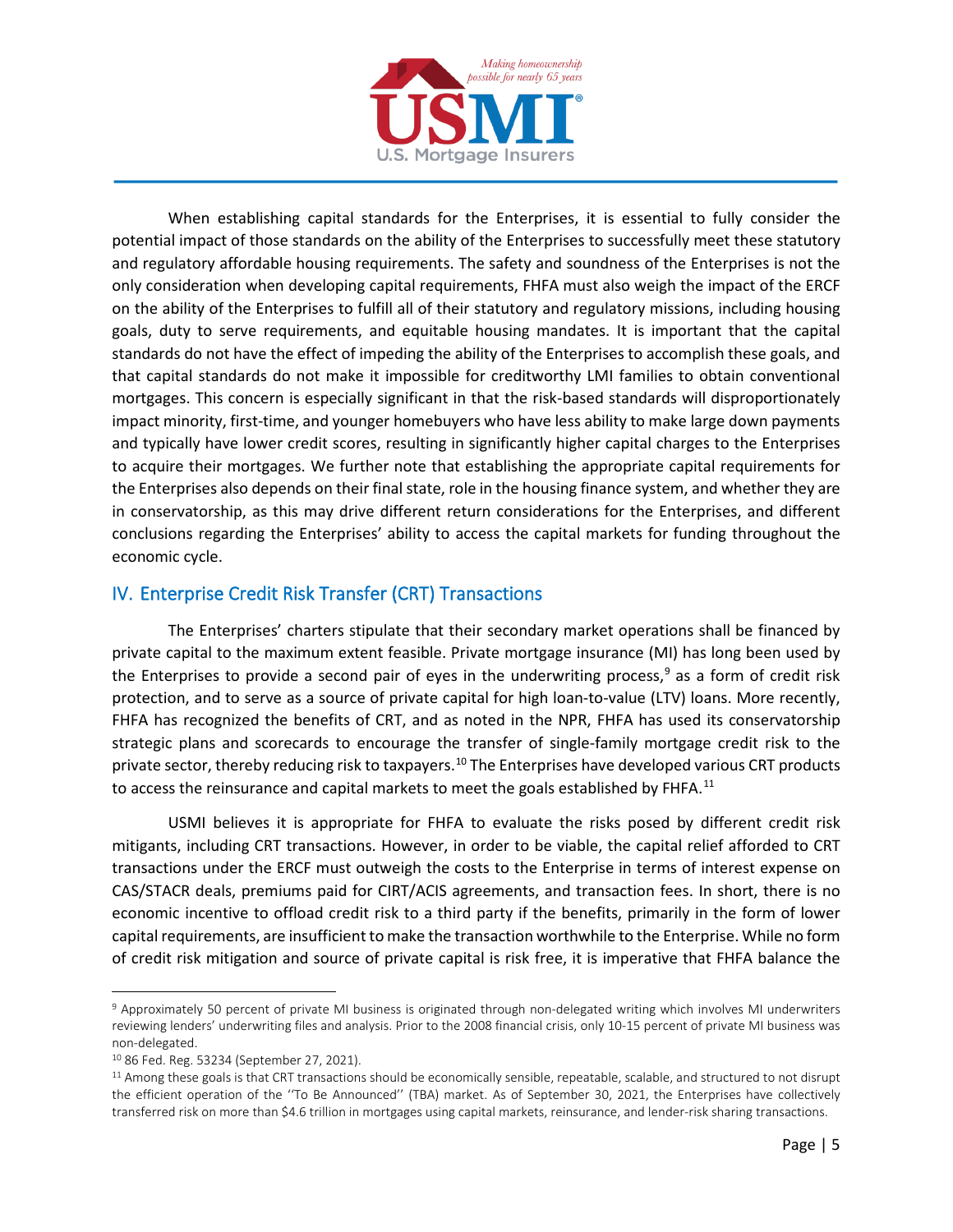

When establishing capital standards for the Enterprises, it is essential to fully consider the potential impact of those standards on the ability of the Enterprises to successfully meet these statutory and regulatory affordable housing requirements. The safety and soundness of the Enterprises is not the only consideration when developing capital requirements, FHFA must also weigh the impact of the ERCF on the ability of the Enterprises to fulfill all of their statutory and regulatory missions, including housing goals, duty to serve requirements, and equitable housing mandates. It is important that the capital standards do not have the effect of impeding the ability of the Enterprises to accomplish these goals, and that capital standards do not make it impossible for creditworthy LMI families to obtain conventional mortgages. This concern is especially significant in that the risk-based standards will disproportionately impact minority, first-time, and younger homebuyers who have less ability to make large down payments and typically have lower credit scores, resulting in significantly higher capital charges to the Enterprises to acquire their mortgages. We further note that establishing the appropriate capital requirements for the Enterprises also depends on their final state, role in the housing finance system, and whether they are in conservatorship, as this may drive different return considerations for the Enterprises, and different conclusions regarding the Enterprises' ability to access the capital markets for funding throughout the economic cycle.

# <span id="page-4-0"></span>IV. Enterprise Credit Risk Transfer (CRT) Transactions

The Enterprises' charters stipulate that their secondary market operations shall be financed by private capital to the maximum extent feasible. Private mortgage insurance (MI) has long been used by the Enterprises to provide a second pair of eyes in the underwriting process,<sup>[9](#page-4-1)</sup> as a form of credit risk protection, and to serve as a source of private capital for high loan-to-value (LTV) loans. More recently, FHFA has recognized the benefits of CRT, and as noted in the NPR, FHFA has used its conservatorship strategic plans and scorecards to encourage the transfer of single-family mortgage credit risk to the private sector, thereby reducing risk to taxpayers.<sup>[10](#page-4-2)</sup> The Enterprises have developed various CRT products to access the reinsurance and capital markets to meet the goals established by FHFA.<sup>[11](#page-4-3)</sup>

USMI believes it is appropriate for FHFA to evaluate the risks posed by different credit risk mitigants, including CRT transactions. However, in order to be viable, the capital relief afforded to CRT transactions under the ERCF must outweigh the costs to the Enterprise in terms of interest expense on CAS/STACR deals, premiums paid for CIRT/ACIS agreements, and transaction fees. In short, there is no economic incentive to offload credit risk to a third party if the benefits, primarily in the form of lower capital requirements, are insufficient to make the transaction worthwhile to the Enterprise. While no form of credit risk mitigation and source of private capital is risk free, it is imperative that FHFA balance the

<span id="page-4-1"></span><sup>9</sup> Approximately 50 percent of private MI business is originated through non-delegated writing which involves MI underwriters reviewing lenders' underwriting files and analysis. Prior to the 2008 financial crisis, only 10-15 percent of private MI business was non-delegated.

<span id="page-4-2"></span><sup>10</sup> 86 Fed. Reg. 53234 (September 27, 2021).

<span id="page-4-3"></span><sup>11</sup> Among these goals is that CRT transactions should be economically sensible, repeatable, scalable, and structured to not disrupt the efficient operation of the ''To Be Announced'' (TBA) market. As of September 30, 2021, the Enterprises have collectively transferred risk on more than \$4.6 trillion in mortgages using capital markets, reinsurance, and lender-risk sharing transactions.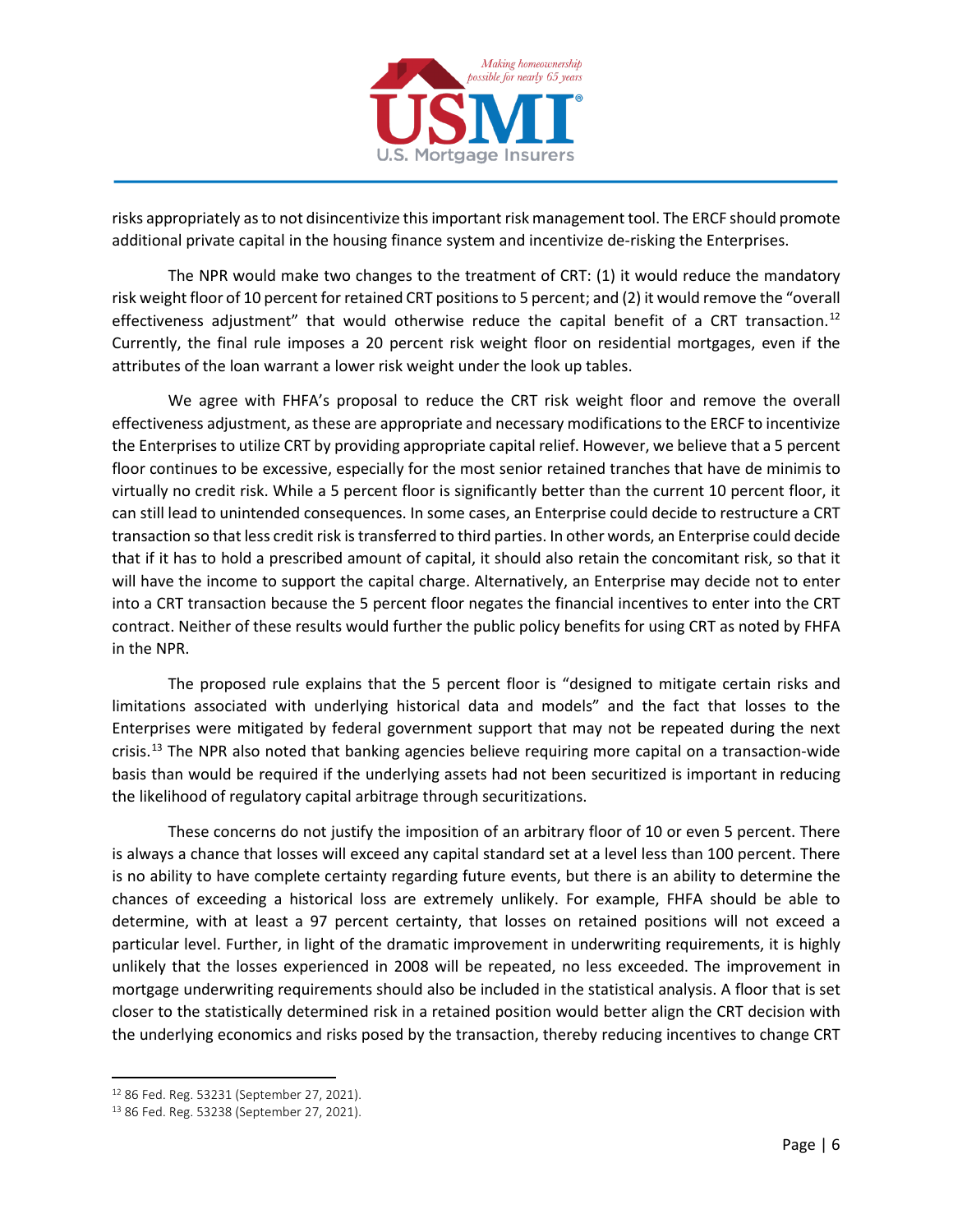

risks appropriately as to not disincentivize this important risk management tool. The ERCF should promote additional private capital in the housing finance system and incentivize de-risking the Enterprises.

The NPR would make two changes to the treatment of CRT: (1) it would reduce the mandatory risk weight floor of 10 percent for retained CRT positions to 5 percent; and (2) it would remove the "overall effectiveness adjustment" that would otherwise reduce the capital benefit of a CRT transaction.<sup>[12](#page-5-0)</sup> Currently, the final rule imposes a 20 percent risk weight floor on residential mortgages, even if the attributes of the loan warrant a lower risk weight under the look up tables.

We agree with FHFA's proposal to reduce the CRT risk weight floor and remove the overall effectiveness adjustment, as these are appropriate and necessary modifications to the ERCF to incentivize the Enterprises to utilize CRT by providing appropriate capital relief. However, we believe that a 5 percent floor continues to be excessive, especially for the most senior retained tranches that have de minimis to virtually no credit risk. While a 5 percent floor is significantly better than the current 10 percent floor, it can still lead to unintended consequences. In some cases, an Enterprise could decide to restructure a CRT transaction so that less credit risk is transferred to third parties. In other words, an Enterprise could decide that if it has to hold a prescribed amount of capital, it should also retain the concomitant risk, so that it will have the income to support the capital charge. Alternatively, an Enterprise may decide not to enter into a CRT transaction because the 5 percent floor negates the financial incentives to enter into the CRT contract. Neither of these results would further the public policy benefits for using CRT as noted by FHFA in the NPR.

The proposed rule explains that the 5 percent floor is "designed to mitigate certain risks and limitations associated with underlying historical data and models" and the fact that losses to the Enterprises were mitigated by federal government support that may not be repeated during the next crisis. [13](#page-5-1) The NPR also noted that banking agencies believe requiring more capital on a transaction-wide basis than would be required if the underlying assets had not been securitized is important in reducing the likelihood of regulatory capital arbitrage through securitizations.

These concerns do not justify the imposition of an arbitrary floor of 10 or even 5 percent. There is always a chance that losses will exceed any capital standard set at a level less than 100 percent. There is no ability to have complete certainty regarding future events, but there is an ability to determine the chances of exceeding a historical loss are extremely unlikely. For example, FHFA should be able to determine, with at least a 97 percent certainty, that losses on retained positions will not exceed a particular level. Further, in light of the dramatic improvement in underwriting requirements, it is highly unlikely that the losses experienced in 2008 will be repeated, no less exceeded. The improvement in mortgage underwriting requirements should also be included in the statistical analysis. A floor that is set closer to the statistically determined risk in a retained position would better align the CRT decision with the underlying economics and risks posed by the transaction, thereby reducing incentives to change CRT

<span id="page-5-0"></span><sup>12</sup> 86 Fed. Reg. 53231 (September 27, 2021).

<span id="page-5-1"></span><sup>13</sup> 86 Fed. Reg. 53238 (September 27, 2021).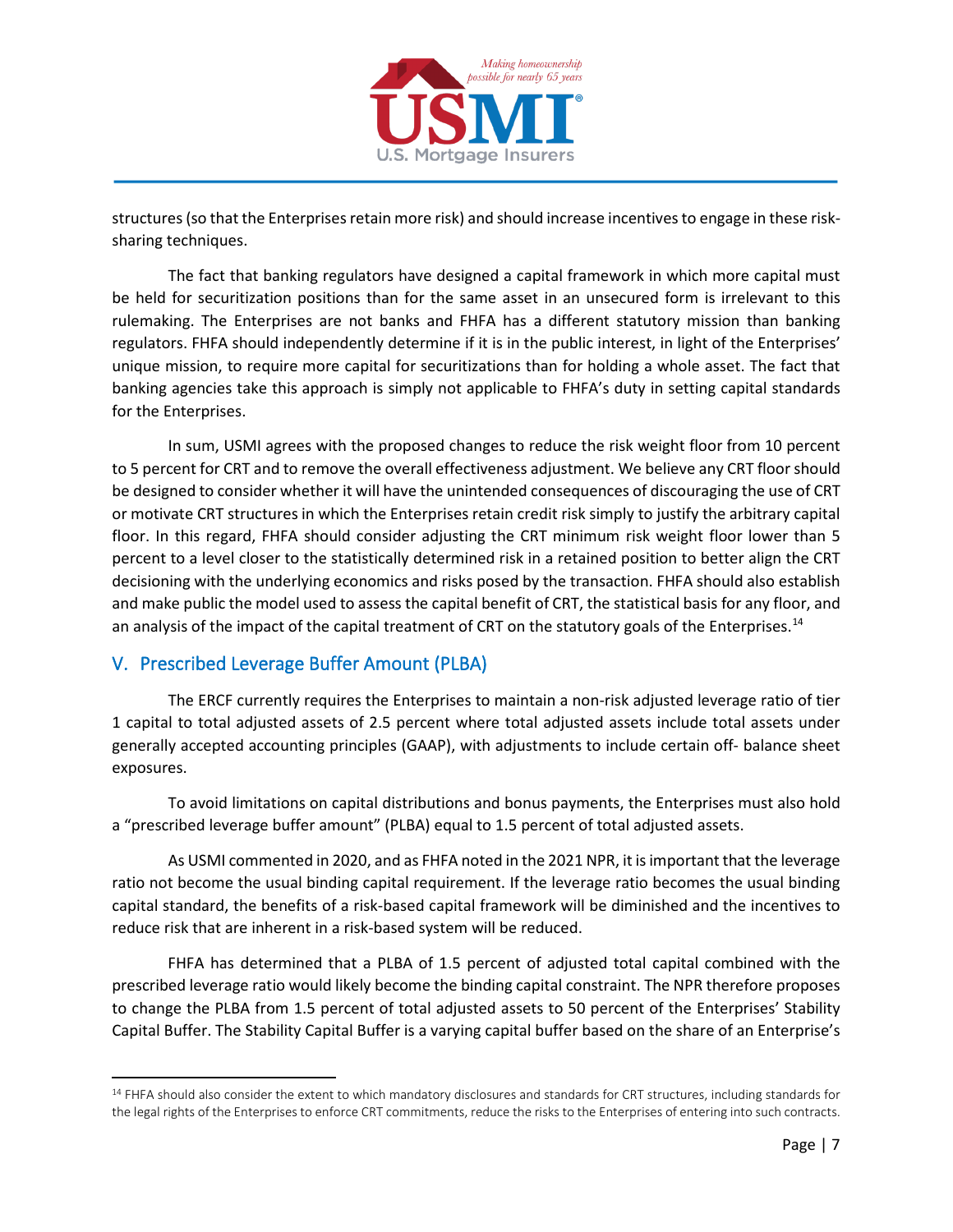

structures (so that the Enterprises retain more risk) and should increase incentives to engage in these risksharing techniques.

The fact that banking regulators have designed a capital framework in which more capital must be held for securitization positions than for the same asset in an unsecured form is irrelevant to this rulemaking. The Enterprises are not banks and FHFA has a different statutory mission than banking regulators. FHFA should independently determine if it is in the public interest, in light of the Enterprises' unique mission, to require more capital for securitizations than for holding a whole asset. The fact that banking agencies take this approach is simply not applicable to FHFA's duty in setting capital standards for the Enterprises.

In sum, USMI agrees with the proposed changes to reduce the risk weight floor from 10 percent to 5 percent for CRT and to remove the overall effectiveness adjustment. We believe any CRT floor should be designed to consider whether it will have the unintended consequences of discouraging the use of CRT or motivate CRT structures in which the Enterprises retain credit risk simply to justify the arbitrary capital floor. In this regard, FHFA should consider adjusting the CRT minimum risk weight floor lower than 5 percent to a level closer to the statistically determined risk in a retained position to better align the CRT decisioning with the underlying economics and risks posed by the transaction. FHFA should also establish and make public the model used to assess the capital benefit of CRT, the statistical basis for any floor, and an analysis of the impact of the capital treatment of CRT on the statutory goals of the Enterprises.<sup>[14](#page-6-1)</sup>

## <span id="page-6-0"></span>V. Prescribed Leverage Buffer Amount (PLBA)

The ERCF currently requires the Enterprises to maintain a non-risk adjusted leverage ratio of tier 1 capital to total adjusted assets of 2.5 percent where total adjusted assets include total assets under generally accepted accounting principles (GAAP), with adjustments to include certain off- balance sheet exposures.

To avoid limitations on capital distributions and bonus payments, the Enterprises must also hold a "prescribed leverage buffer amount" (PLBA) equal to 1.5 percent of total adjusted assets.

As USMI commented in 2020, and as FHFA noted in the 2021 NPR, it is important that the leverage ratio not become the usual binding capital requirement. If the leverage ratio becomes the usual binding capital standard, the benefits of a risk-based capital framework will be diminished and the incentives to reduce risk that are inherent in a risk-based system will be reduced.

FHFA has determined that a PLBA of 1.5 percent of adjusted total capital combined with the prescribed leverage ratio would likely become the binding capital constraint. The NPR therefore proposes to change the PLBA from 1.5 percent of total adjusted assets to 50 percent of the Enterprises' Stability Capital Buffer. The Stability Capital Buffer is a varying capital buffer based on the share of an Enterprise's

<span id="page-6-1"></span><sup>&</sup>lt;sup>14</sup> FHFA should also consider the extent to which mandatory disclosures and standards for CRT structures, including standards for the legal rights of the Enterprises to enforce CRT commitments, reduce the risks to the Enterprises of entering into such contracts.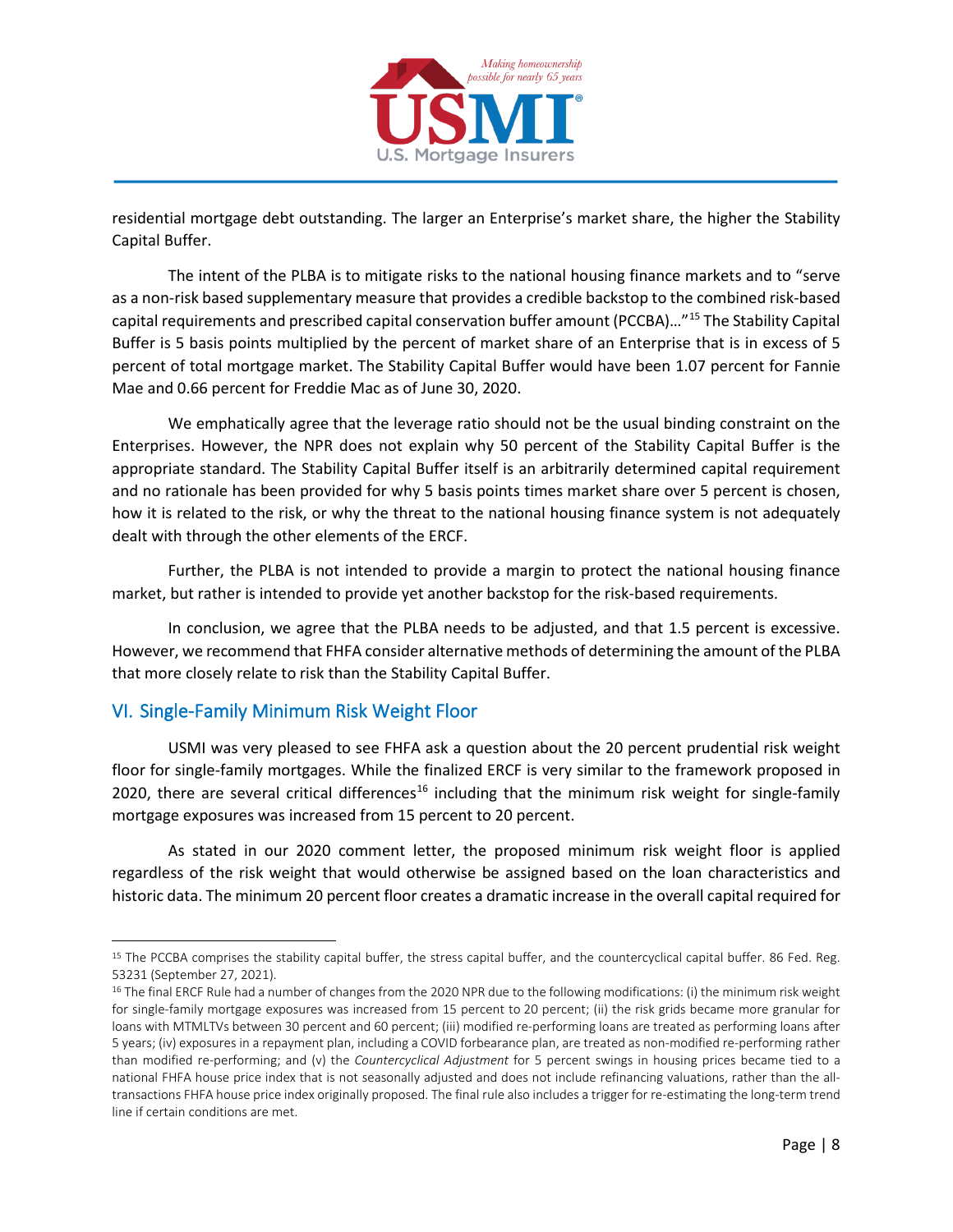

residential mortgage debt outstanding. The larger an Enterprise's market share, the higher the Stability Capital Buffer.

The intent of the PLBA is to mitigate risks to the national housing finance markets and to "serve as a non-risk based supplementary measure that provides a credible backstop to the combined risk-based capital requirements and prescribed capital conservation buffer amount (PCCBA)…"[15](#page-7-1) The Stability Capital Buffer is 5 basis points multiplied by the percent of market share of an Enterprise that is in excess of 5 percent of total mortgage market. The Stability Capital Buffer would have been 1.07 percent for Fannie Mae and 0.66 percent for Freddie Mac as of June 30, 2020.

We emphatically agree that the leverage ratio should not be the usual binding constraint on the Enterprises. However, the NPR does not explain why 50 percent of the Stability Capital Buffer is the appropriate standard. The Stability Capital Buffer itself is an arbitrarily determined capital requirement and no rationale has been provided for why 5 basis points times market share over 5 percent is chosen, how it is related to the risk, or why the threat to the national housing finance system is not adequately dealt with through the other elements of the ERCF.

Further, the PLBA is not intended to provide a margin to protect the national housing finance market, but rather is intended to provide yet another backstop for the risk-based requirements.

In conclusion, we agree that the PLBA needs to be adjusted, and that 1.5 percent is excessive. However, we recommend that FHFA consider alternative methods of determining the amount of the PLBA that more closely relate to risk than the Stability Capital Buffer.

# <span id="page-7-0"></span>VI. Single-Family Minimum Risk Weight Floor

USMI was very pleased to see FHFA ask a question about the 20 percent prudential risk weight floor for single-family mortgages. While the finalized ERCF is very similar to the framework proposed in 2020, there are several critical differences<sup>[16](#page-7-2)</sup> including that the minimum risk weight for single-family mortgage exposures was increased from 15 percent to 20 percent.

As stated in our 2020 comment letter, the proposed minimum risk weight floor is applied regardless of the risk weight that would otherwise be assigned based on the loan characteristics and historic data. The minimum 20 percent floor creates a dramatic increase in the overall capital required for

<span id="page-7-1"></span><sup>&</sup>lt;sup>15</sup> The PCCBA comprises the stability capital buffer, the stress capital buffer, and the countercyclical capital buffer. 86 Fed. Reg. 53231 (September 27, 2021).

<span id="page-7-2"></span><sup>&</sup>lt;sup>16</sup> The final ERCF Rule had a number of changes from the 2020 NPR due to the following modifications: (i) the minimum risk weight for single-family mortgage exposures was increased from 15 percent to 20 percent; (ii) the risk grids became more granular for loans with MTMLTVs between 30 percent and 60 percent; (iii) modified re-performing loans are treated as performing loans after 5 years; (iv) exposures in a repayment plan, including a COVID forbearance plan, are treated as non-modified re-performing rather than modified re-performing; and (v) the *Countercyclical Adjustment* for 5 percent swings in housing prices became tied to a national FHFA house price index that is not seasonally adjusted and does not include refinancing valuations, rather than the alltransactions FHFA house price index originally proposed. The final rule also includes a trigger for re-estimating the long-term trend line if certain conditions are met.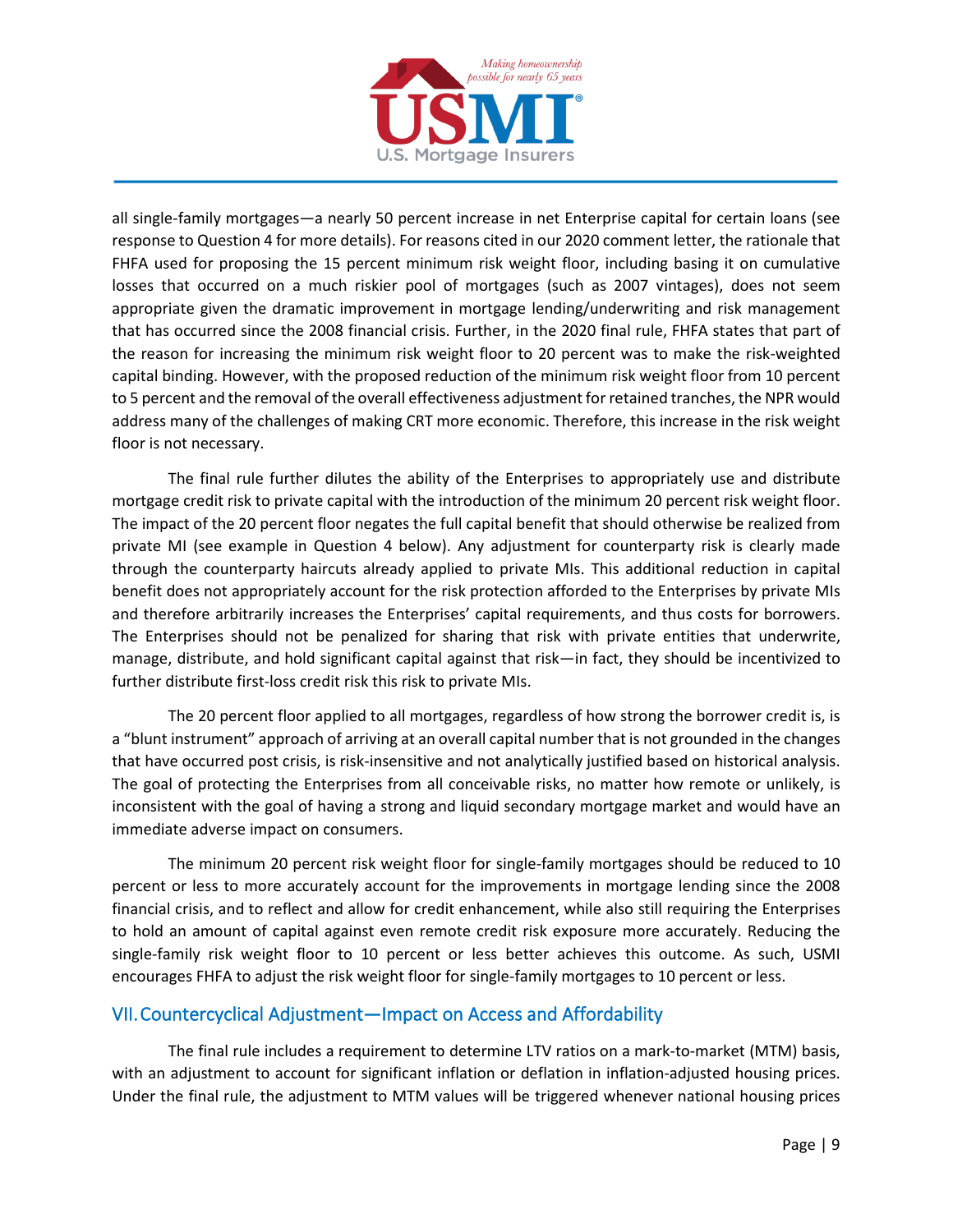

all single-family mortgages—a nearly 50 percent increase in net Enterprise capital for certain loans (see response to Question 4 for more details). For reasons cited in our 2020 comment letter, the rationale that FHFA used for proposing the 15 percent minimum risk weight floor, including basing it on cumulative losses that occurred on a much riskier pool of mortgages (such as 2007 vintages), does not seem appropriate given the dramatic improvement in mortgage lending/underwriting and risk management that has occurred since the 2008 financial crisis. Further, in the 2020 final rule, FHFA states that part of the reason for increasing the minimum risk weight floor to 20 percent was to make the risk-weighted capital binding. However, with the proposed reduction of the minimum risk weight floor from 10 percent to 5 percent and the removal of the overall effectiveness adjustment for retained tranches, the NPR would address many of the challenges of making CRT more economic. Therefore, this increase in the risk weight floor is not necessary.

The final rule further dilutes the ability of the Enterprises to appropriately use and distribute mortgage credit risk to private capital with the introduction of the minimum 20 percent risk weight floor. The impact of the 20 percent floor negates the full capital benefit that should otherwise be realized from private MI (see example in Question 4 below). Any adjustment for counterparty risk is clearly made through the counterparty haircuts already applied to private MIs. This additional reduction in capital benefit does not appropriately account for the risk protection afforded to the Enterprises by private MIs and therefore arbitrarily increases the Enterprises' capital requirements, and thus costs for borrowers. The Enterprises should not be penalized for sharing that risk with private entities that underwrite, manage, distribute, and hold significant capital against that risk—in fact, they should be incentivized to further distribute first-loss credit risk this risk to private MIs.

The 20 percent floor applied to all mortgages, regardless of how strong the borrower credit is, is a "blunt instrument" approach of arriving at an overall capital number that is not grounded in the changes that have occurred post crisis, is risk-insensitive and not analytically justified based on historical analysis. The goal of protecting the Enterprises from all conceivable risks, no matter how remote or unlikely, is inconsistent with the goal of having a strong and liquid secondary mortgage market and would have an immediate adverse impact on consumers.

The minimum 20 percent risk weight floor for single-family mortgages should be reduced to 10 percent or less to more accurately account for the improvements in mortgage lending since the 2008 financial crisis, and to reflect and allow for credit enhancement, while also still requiring the Enterprises to hold an amount of capital against even remote credit risk exposure more accurately. Reducing the single-family risk weight floor to 10 percent or less better achieves this outcome. As such, USMI encourages FHFA to adjust the risk weight floor for single-family mortgages to 10 percent or less.

## <span id="page-8-0"></span>VII. Countercyclical Adjustment—Impact on Access and Affordability

The final rule includes a requirement to determine LTV ratios on a mark-to-market (MTM) basis, with an adjustment to account for significant inflation or deflation in inflation-adjusted housing prices. Under the final rule, the adjustment to MTM values will be triggered whenever national housing prices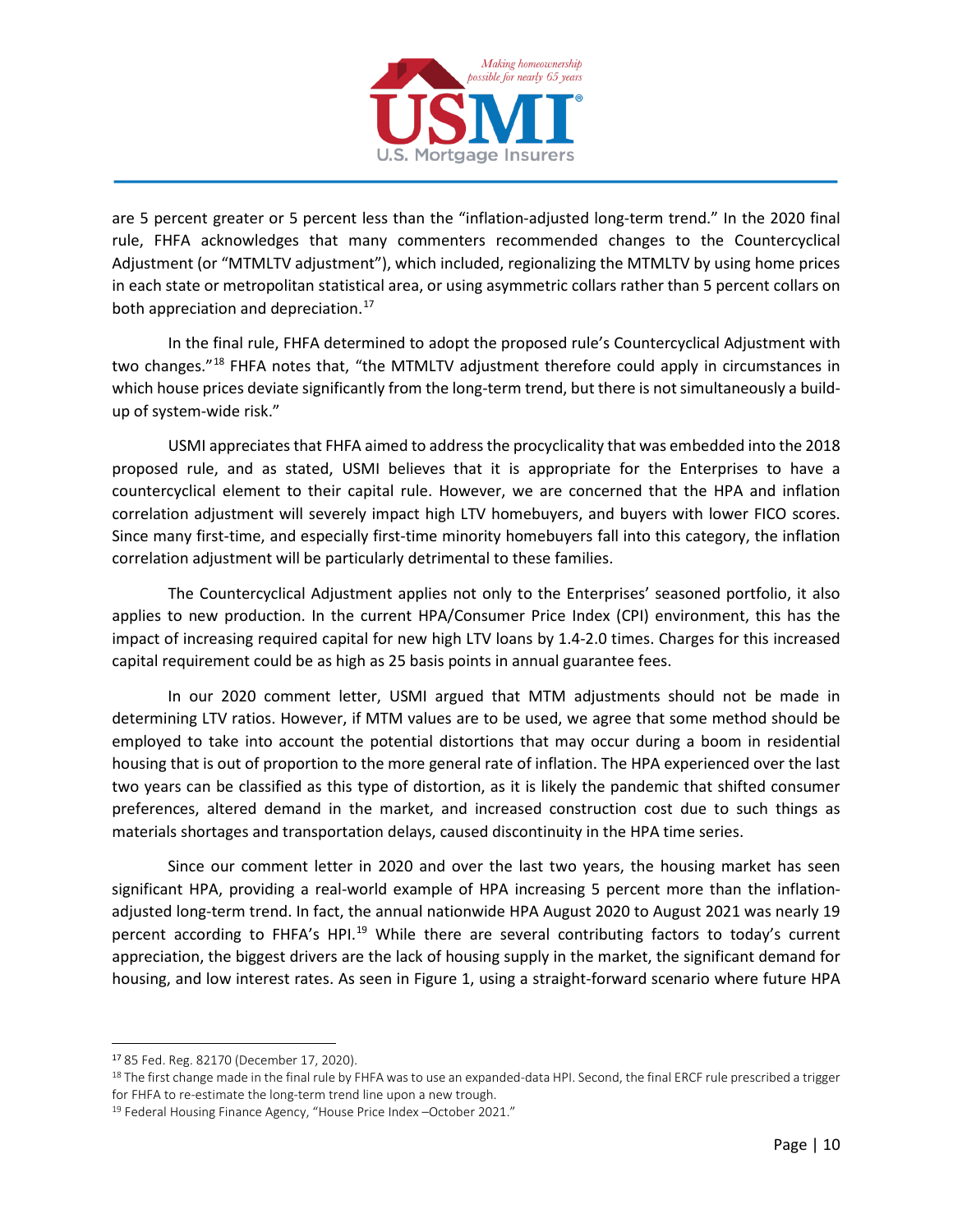

are 5 percent greater or 5 percent less than the "inflation-adjusted long-term trend." In the 2020 final rule, FHFA acknowledges that many commenters recommended changes to the Countercyclical Adjustment (or "MTMLTV adjustment"), which included, regionalizing the MTMLTV by using home prices in each state or metropolitan statistical area, or using asymmetric collars rather than 5 percent collars on both appreciation and depreciation.<sup>[17](#page-9-0)</sup>

In the final rule, FHFA determined to adopt the proposed rule's Countercyclical Adjustment with two changes."<sup>[18](#page-9-1)</sup> FHFA notes that, "the MTMLTV adjustment therefore could apply in circumstances in which house prices deviate significantly from the long-term trend, but there is not simultaneously a buildup of system-wide risk."

USMI appreciates that FHFA aimed to address the procyclicality that was embedded into the 2018 proposed rule, and as stated, USMI believes that it is appropriate for the Enterprises to have a countercyclical element to their capital rule. However, we are concerned that the HPA and inflation correlation adjustment will severely impact high LTV homebuyers, and buyers with lower FICO scores. Since many first-time, and especially first-time minority homebuyers fall into this category, the inflation correlation adjustment will be particularly detrimental to these families.

The Countercyclical Adjustment applies not only to the Enterprises' seasoned portfolio, it also applies to new production. In the current HPA/Consumer Price Index (CPI) environment, this has the impact of increasing required capital for new high LTV loans by 1.4-2.0 times. Charges for this increased capital requirement could be as high as 25 basis points in annual guarantee fees.

In our 2020 comment letter, USMI argued that MTM adjustments should not be made in determining LTV ratios. However, if MTM values are to be used, we agree that some method should be employed to take into account the potential distortions that may occur during a boom in residential housing that is out of proportion to the more general rate of inflation. The HPA experienced over the last two years can be classified as this type of distortion, as it is likely the pandemic that shifted consumer preferences, altered demand in the market, and increased construction cost due to such things as materials shortages and transportation delays, caused discontinuity in the HPA time series.

Since our comment letter in 2020 and over the last two years, the housing market has seen significant HPA, providing a real-world example of HPA increasing 5 percent more than the inflationadjusted long-term trend. In fact, the annual nationwide HPA August 2020 to August 2021 was nearly 19 percent according to FHFA's HPI.<sup>[19](#page-9-2)</sup> While there are several contributing factors to today's current appreciation, the biggest drivers are the lack of housing supply in the market, the significant demand for housing, and low interest rates. As seen in Figure 1, using a straight-forward scenario where future HPA

<span id="page-9-0"></span><sup>17</sup> 85 Fed. Reg. 82170 (December 17, 2020).

<span id="page-9-1"></span><sup>&</sup>lt;sup>18</sup> The first change made in the final rule by FHFA was to use an expanded-data HPI. Second, the final ERCF rule prescribed a trigger

<span id="page-9-2"></span>for FHFA to re-estimate the long-term trend line upon a new trough.<br><sup>19</sup> Federal Housing Finance Agency, "House Price Index –October 2021."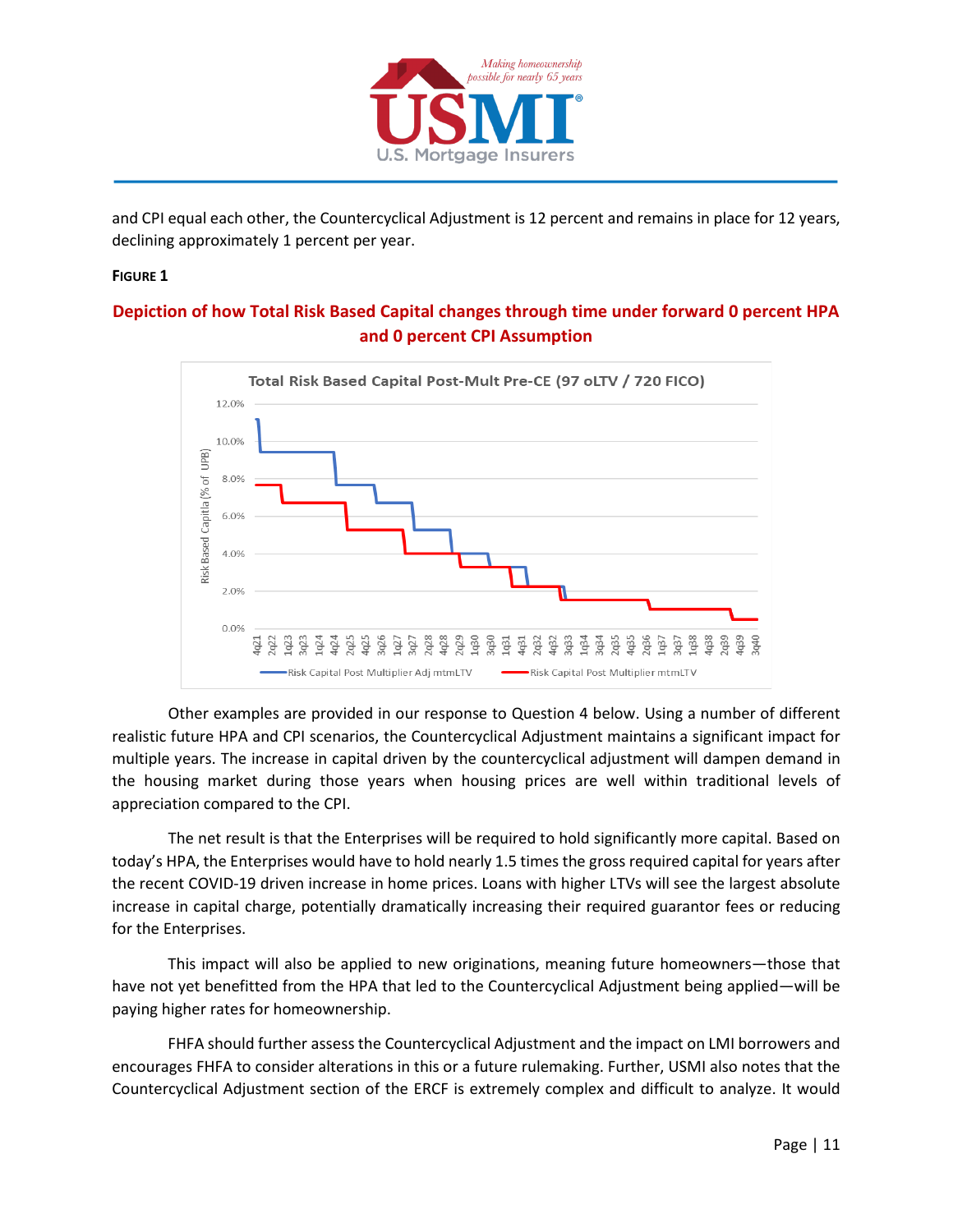

and CPI equal each other, the Countercyclical Adjustment is 12 percent and remains in place for 12 years, declining approximately 1 percent per year.

#### **FIGURE 1**

### **Depiction of how Total Risk Based Capital changes through time under forward 0 percent HPA and 0 percent CPI Assumption**



Other examples are provided in our response to Question 4 below. Using a number of different realistic future HPA and CPI scenarios, the Countercyclical Adjustment maintains a significant impact for multiple years. The increase in capital driven by the countercyclical adjustment will dampen demand in the housing market during those years when housing prices are well within traditional levels of appreciation compared to the CPI.

The net result is that the Enterprises will be required to hold significantly more capital. Based on today's HPA, the Enterprises would have to hold nearly 1.5 times the gross required capital for years after the recent COVID-19 driven increase in home prices. Loans with higher LTVs will see the largest absolute increase in capital charge, potentially dramatically increasing their required guarantor fees or reducing for the Enterprises.

This impact will also be applied to new originations, meaning future homeowners—those that have not yet benefitted from the HPA that led to the Countercyclical Adjustment being applied—will be paying higher rates for homeownership.

FHFA should further assess the Countercyclical Adjustment and the impact on LMI borrowers and encourages FHFA to consider alterations in this or a future rulemaking. Further, USMI also notes that the Countercyclical Adjustment section of the ERCF is extremely complex and difficult to analyze. It would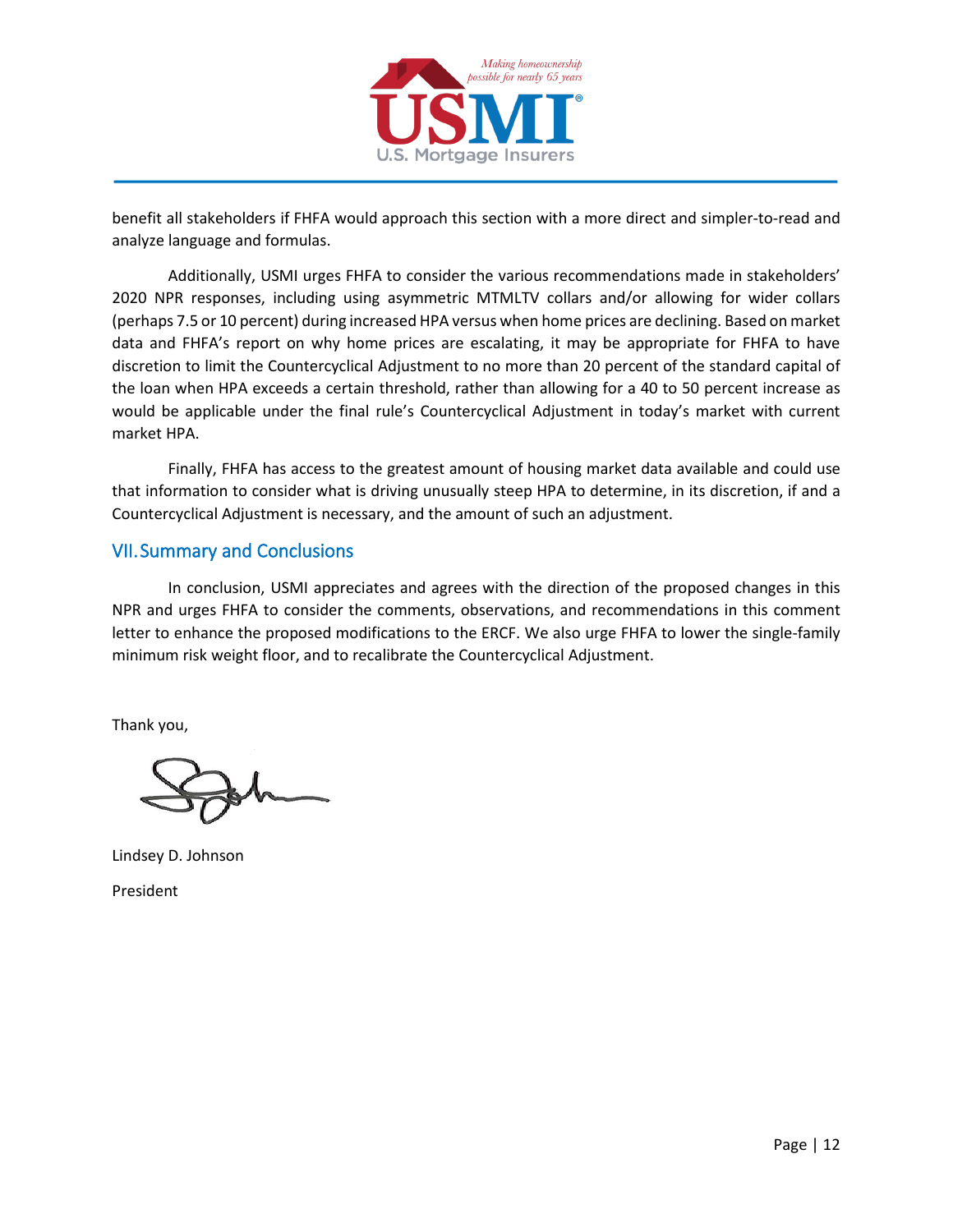

benefit all stakeholders if FHFA would approach this section with a more direct and simpler-to-read and analyze language and formulas.

Additionally, USMI urges FHFA to consider the various recommendations made in stakeholders' 2020 NPR responses, including using asymmetric MTMLTV collars and/or allowing for wider collars (perhaps 7.5 or 10 percent) during increased HPA versus when home prices are declining. Based on market data and FHFA's report on why home prices are escalating, it may be appropriate for FHFA to have discretion to limit the Countercyclical Adjustment to no more than 20 percent of the standard capital of the loan when HPA exceeds a certain threshold, rather than allowing for a 40 to 50 percent increase as would be applicable under the final rule's Countercyclical Adjustment in today's market with current market HPA.

Finally, FHFA has access to the greatest amount of housing market data available and could use that information to consider what is driving unusually steep HPA to determine, in its discretion, if and a Countercyclical Adjustment is necessary, and the amount of such an adjustment.

## <span id="page-11-0"></span>VII. Summary and Conclusions

In conclusion, USMI appreciates and agrees with the direction of the proposed changes in this NPR and urges FHFA to consider the comments, observations, and recommendations in this comment letter to enhance the proposed modifications to the ERCF. We also urge FHFA to lower the single-family minimum risk weight floor, and to recalibrate the Countercyclical Adjustment.

Thank you,

Lindsey D. Johnson President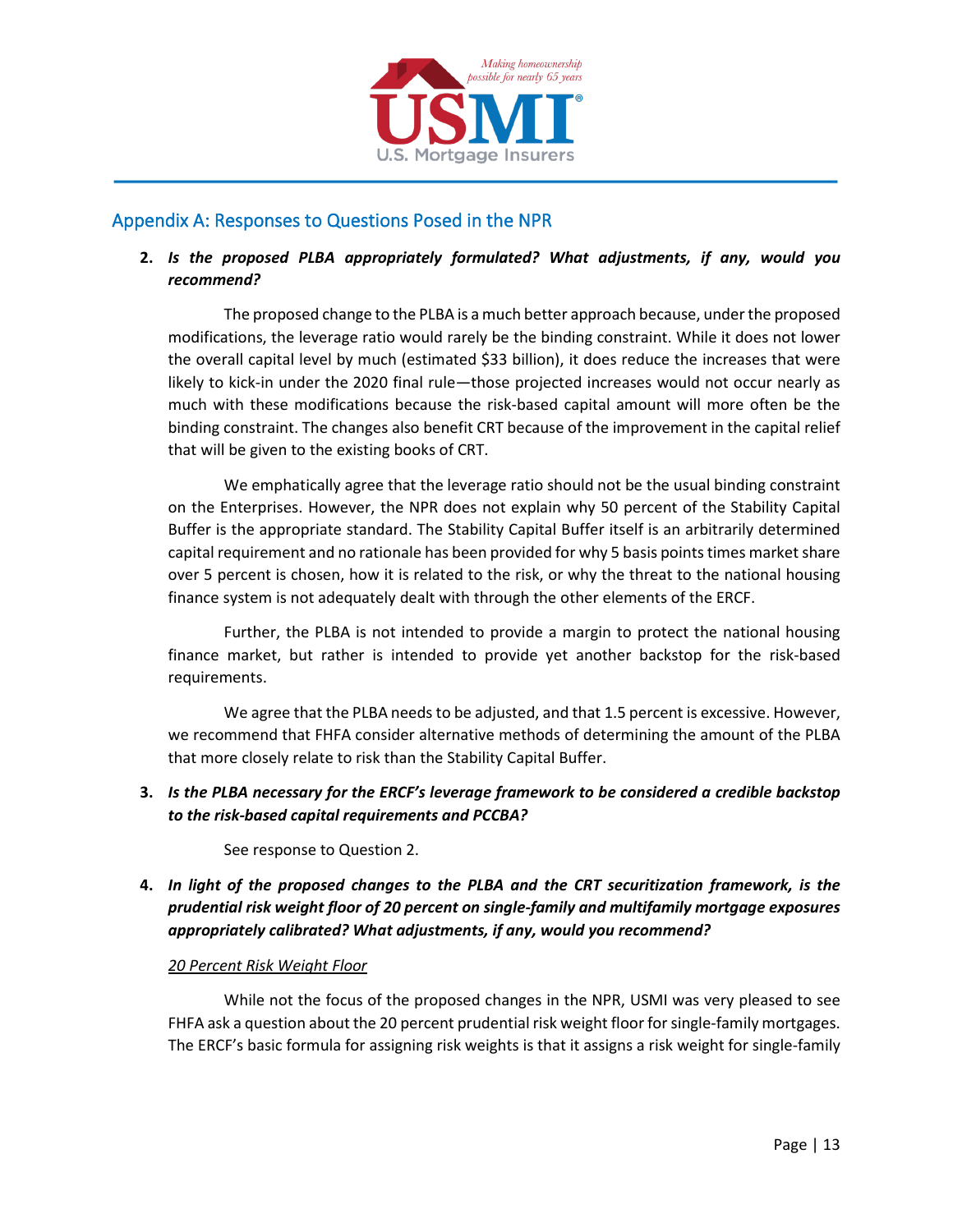

# <span id="page-12-0"></span>Appendix A: Responses to Questions Posed in the NPR

### **2.** *Is the proposed PLBA appropriately formulated? What adjustments, if any, would you recommend?*

The proposed change to the PLBA is a much better approach because, under the proposed modifications, the leverage ratio would rarely be the binding constraint. While it does not lower the overall capital level by much (estimated \$33 billion), it does reduce the increases that were likely to kick-in under the 2020 final rule—those projected increases would not occur nearly as much with these modifications because the risk-based capital amount will more often be the binding constraint. The changes also benefit CRT because of the improvement in the capital relief that will be given to the existing books of CRT.

We emphatically agree that the leverage ratio should not be the usual binding constraint on the Enterprises. However, the NPR does not explain why 50 percent of the Stability Capital Buffer is the appropriate standard. The Stability Capital Buffer itself is an arbitrarily determined capital requirement and no rationale has been provided for why 5 basis points times market share over 5 percent is chosen, how it is related to the risk, or why the threat to the national housing finance system is not adequately dealt with through the other elements of the ERCF.

Further, the PLBA is not intended to provide a margin to protect the national housing finance market, but rather is intended to provide yet another backstop for the risk-based requirements.

We agree that the PLBA needs to be adjusted, and that 1.5 percent is excessive. However, we recommend that FHFA consider alternative methods of determining the amount of the PLBA that more closely relate to risk than the Stability Capital Buffer.

**3.** *Is the PLBA necessary for the ERCF's leverage framework to be considered a credible backstop to the risk-based capital requirements and PCCBA?*

See response to Question 2.

**4.** *In light of the proposed changes to the PLBA and the CRT securitization framework, is the prudential risk weight floor of 20 percent on single-family and multifamily mortgage exposures appropriately calibrated? What adjustments, if any, would you recommend?*

#### *20 Percent Risk Weight Floor*

While not the focus of the proposed changes in the NPR, USMI was very pleased to see FHFA ask a question about the 20 percent prudential risk weight floor for single-family mortgages. The ERCF's basic formula for assigning risk weights is that it assigns a risk weight for single-family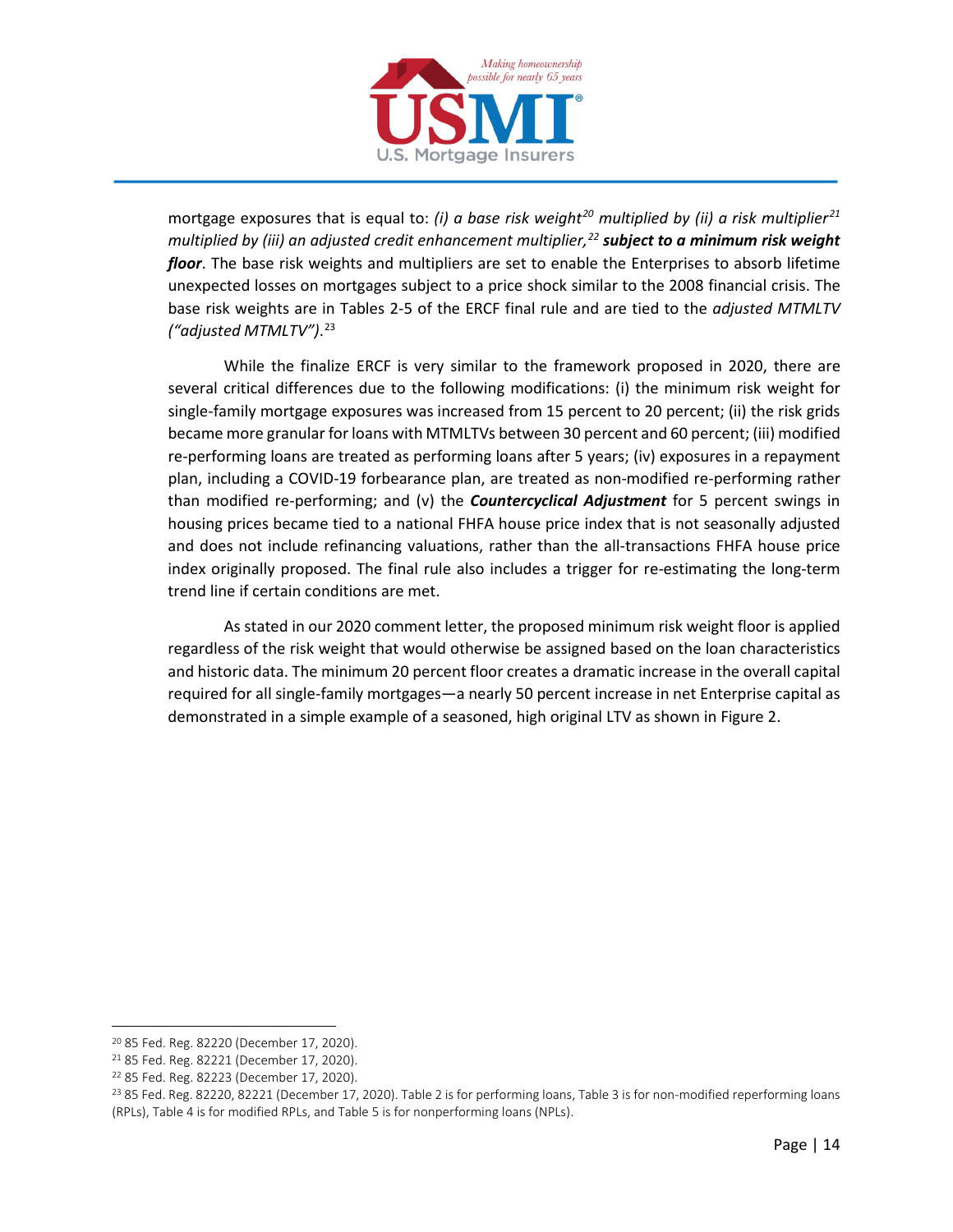

mortgage exposures that is equal to: *(i) a base risk weight[20](#page-13-0) multiplied by (ii) a risk multiplier[21](#page-13-1) multiplied by (iii) an adjusted credit enhancement multiplier,[22](#page-13-2) subject to a minimum risk weight floor*. The base risk weights and multipliers are set to enable the Enterprises to absorb lifetime unexpected losses on mortgages subject to a price shock similar to the 2008 financial crisis. The base risk weights are in Tables 2-5 of the ERCF final rule and are tied to the *adjusted MTMLTV ("adjusted MTMLTV")*. [23](#page-13-3)

While the finalize ERCF is very similar to the framework proposed in 2020, there are several critical differences due to the following modifications: (i) the minimum risk weight for single-family mortgage exposures was increased from 15 percent to 20 percent; (ii) the risk grids became more granular for loans with MTMLTVs between 30 percent and 60 percent; (iii) modified re-performing loans are treated as performing loans after 5 years; (iv) exposures in a repayment plan, including a COVID-19 forbearance plan, are treated as non-modified re-performing rather than modified re-performing; and (v) the *Countercyclical Adjustment* for 5 percent swings in housing prices became tied to a national FHFA house price index that is not seasonally adjusted and does not include refinancing valuations, rather than the all-transactions FHFA house price index originally proposed. The final rule also includes a trigger for re-estimating the long-term trend line if certain conditions are met.

As stated in our 2020 comment letter, the proposed minimum risk weight floor is applied regardless of the risk weight that would otherwise be assigned based on the loan characteristics and historic data. The minimum 20 percent floor creates a dramatic increase in the overall capital required for all single-family mortgages—a nearly 50 percent increase in net Enterprise capital as demonstrated in a simple example of a seasoned, high original LTV as shown in Figure 2.

<span id="page-13-0"></span><sup>20</sup> 85 Fed. Reg. 82220 (December 17, 2020).

<span id="page-13-1"></span><sup>21</sup> 85 Fed. Reg. 82221 (December 17, 2020).

<span id="page-13-2"></span><sup>22</sup> 85 Fed. Reg. 82223 (December 17, 2020).

<span id="page-13-3"></span><sup>&</sup>lt;sup>23</sup> 85 Fed. Reg. 82220, 82221 (December 17, 2020). Table 2 is for performing loans, Table 3 is for non-modified reperforming loans (RPLs), Table 4 is for modified RPLs, and Table 5 is for nonperforming loans (NPLs).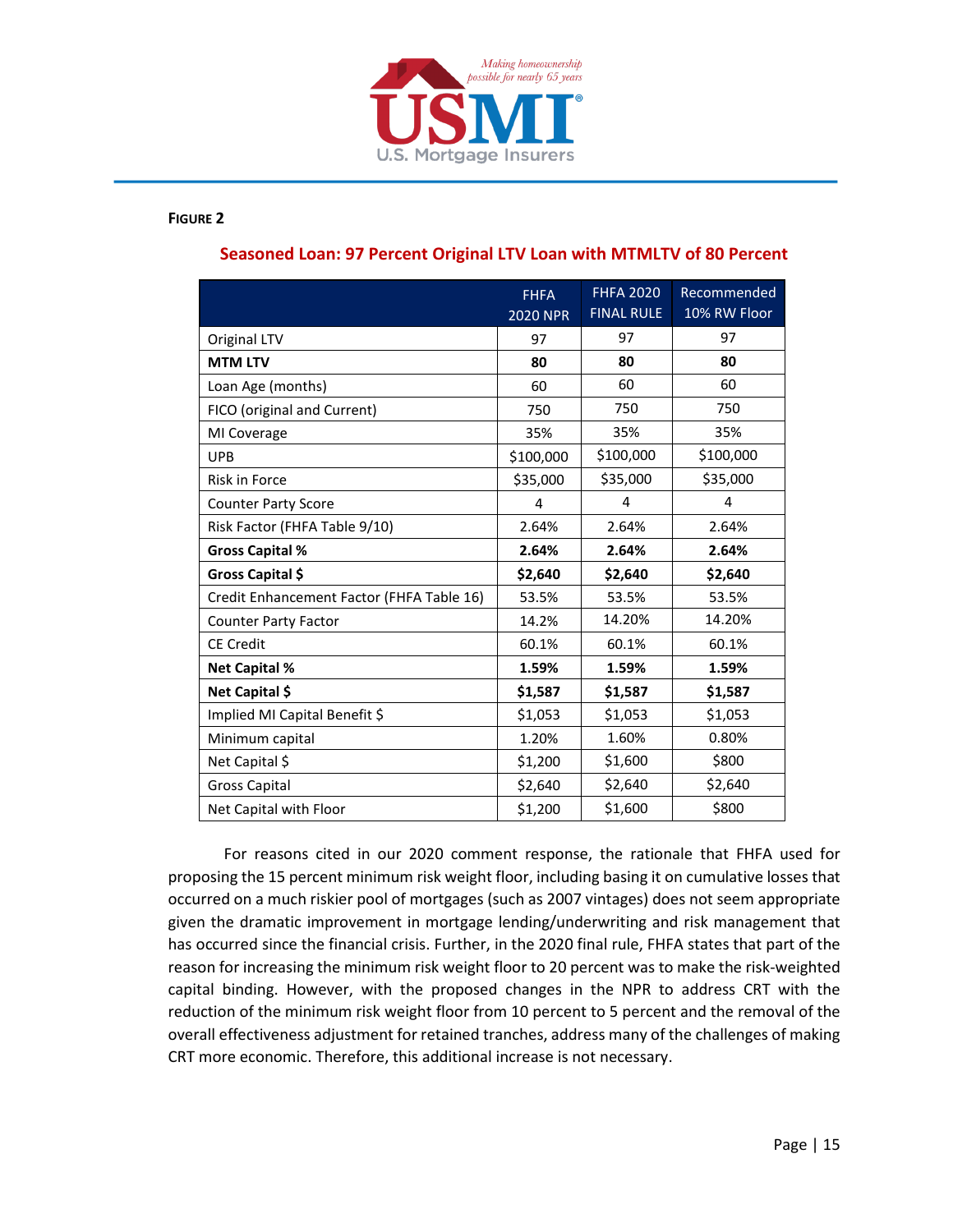

#### **FIGURE 2**

|                                           | <b>FHFA</b><br><b>2020 NPR</b> | <b>FHFA 2020</b><br><b>FINAL RULE</b> | Recommended<br>10% RW Floor |
|-------------------------------------------|--------------------------------|---------------------------------------|-----------------------------|
| Original LTV                              | 97                             | 97                                    | 97                          |
| <b>MTM LTV</b>                            | 80                             | 80                                    | 80                          |
| Loan Age (months)                         | 60                             | 60                                    | 60                          |
| FICO (original and Current)               | 750                            | 750                                   | 750                         |
| MI Coverage                               | 35%                            | 35%                                   | 35%                         |
| <b>UPB</b>                                | \$100,000                      | \$100,000                             | \$100,000                   |
| <b>Risk in Force</b>                      | \$35,000                       | \$35,000                              | \$35,000                    |
| <b>Counter Party Score</b>                | 4                              | 4                                     | 4                           |
| Risk Factor (FHFA Table 9/10)             | 2.64%                          | 2.64%                                 | 2.64%                       |
| <b>Gross Capital %</b>                    | 2.64%                          | 2.64%                                 | 2.64%                       |
| Gross Capital \$                          | \$2,640                        | \$2,640                               | \$2,640                     |
| Credit Enhancement Factor (FHFA Table 16) | 53.5%                          | 53.5%                                 | 53.5%                       |
| <b>Counter Party Factor</b>               | 14.2%                          | 14.20%                                | 14.20%                      |
| <b>CE Credit</b>                          | 60.1%                          | 60.1%                                 | 60.1%                       |
| <b>Net Capital %</b>                      | 1.59%                          | 1.59%                                 | 1.59%                       |
| Net Capital \$                            | \$1,587                        | \$1,587                               | \$1,587                     |
| Implied MI Capital Benefit \$             | \$1,053                        | \$1,053                               | \$1,053                     |
| Minimum capital                           | 1.20%                          | 1.60%                                 | 0.80%                       |
| Net Capital \$                            | \$1,200                        | \$1,600                               | \$800                       |
| <b>Gross Capital</b>                      | \$2,640                        | \$2,640                               | \$2,640                     |
| Net Capital with Floor                    | \$1,200                        | \$1,600                               | \$800                       |

#### **Seasoned Loan: 97 Percent Original LTV Loan with MTMLTV of 80 Percent**

For reasons cited in our 2020 comment response, the rationale that FHFA used for proposing the 15 percent minimum risk weight floor, including basing it on cumulative losses that occurred on a much riskier pool of mortgages (such as 2007 vintages) does not seem appropriate given the dramatic improvement in mortgage lending/underwriting and risk management that has occurred since the financial crisis. Further, in the 2020 final rule, FHFA states that part of the reason for increasing the minimum risk weight floor to 20 percent was to make the risk-weighted capital binding. However, with the proposed changes in the NPR to address CRT with the reduction of the minimum risk weight floor from 10 percent to 5 percent and the removal of the overall effectiveness adjustment for retained tranches, address many of the challenges of making CRT more economic. Therefore, this additional increase is not necessary.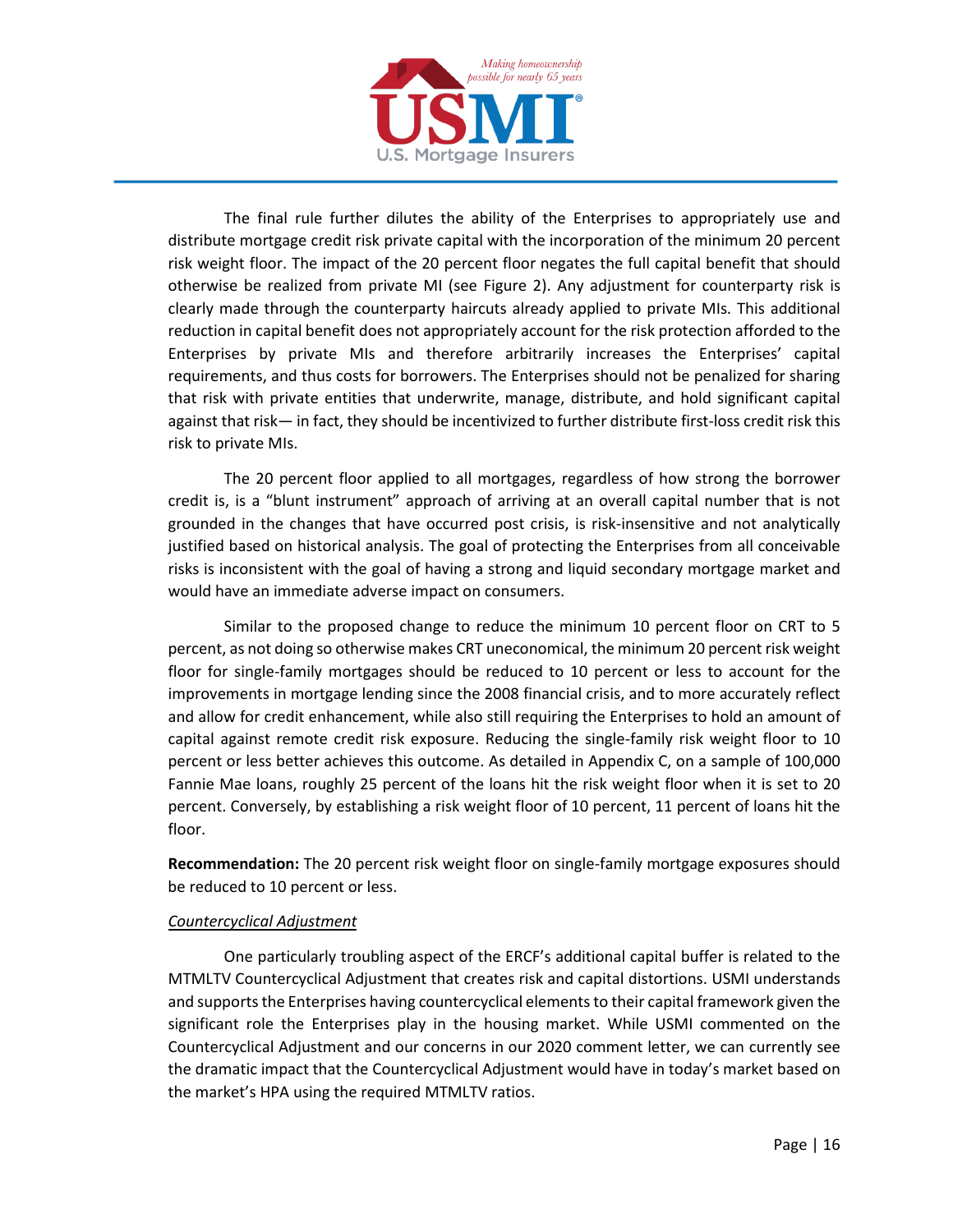

The final rule further dilutes the ability of the Enterprises to appropriately use and distribute mortgage credit risk private capital with the incorporation of the minimum 20 percent risk weight floor. The impact of the 20 percent floor negates the full capital benefit that should otherwise be realized from private MI (see Figure 2). Any adjustment for counterparty risk is clearly made through the counterparty haircuts already applied to private MIs. This additional reduction in capital benefit does not appropriately account for the risk protection afforded to the Enterprises by private MIs and therefore arbitrarily increases the Enterprises' capital requirements, and thus costs for borrowers. The Enterprises should not be penalized for sharing that risk with private entities that underwrite, manage, distribute, and hold significant capital against that risk— in fact, they should be incentivized to further distribute first-loss credit risk this risk to private MIs.

The 20 percent floor applied to all mortgages, regardless of how strong the borrower credit is, is a "blunt instrument" approach of arriving at an overall capital number that is not grounded in the changes that have occurred post crisis, is risk-insensitive and not analytically justified based on historical analysis. The goal of protecting the Enterprises from all conceivable risks is inconsistent with the goal of having a strong and liquid secondary mortgage market and would have an immediate adverse impact on consumers.

Similar to the proposed change to reduce the minimum 10 percent floor on CRT to 5 percent, as not doing so otherwise makes CRT uneconomical, the minimum 20 percent risk weight floor for single-family mortgages should be reduced to 10 percent or less to account for the improvements in mortgage lending since the 2008 financial crisis, and to more accurately reflect and allow for credit enhancement, while also still requiring the Enterprises to hold an amount of capital against remote credit risk exposure. Reducing the single-family risk weight floor to 10 percent or less better achieves this outcome. As detailed in Appendix C, on a sample of 100,000 Fannie Mae loans, roughly 25 percent of the loans hit the risk weight floor when it is set to 20 percent. Conversely, by establishing a risk weight floor of 10 percent, 11 percent of loans hit the floor.

**Recommendation:** The 20 percent risk weight floor on single-family mortgage exposures should be reduced to 10 percent or less.

#### *Countercyclical Adjustment*

One particularly troubling aspect of the ERCF's additional capital buffer is related to the MTMLTV Countercyclical Adjustment that creates risk and capital distortions. USMI understands and supports the Enterprises having countercyclical elements to their capital framework given the significant role the Enterprises play in the housing market. While USMI commented on the Countercyclical Adjustment and our concerns in our 2020 comment letter, we can currently see the dramatic impact that the Countercyclical Adjustment would have in today's market based on the market's HPA using the required MTMLTV ratios.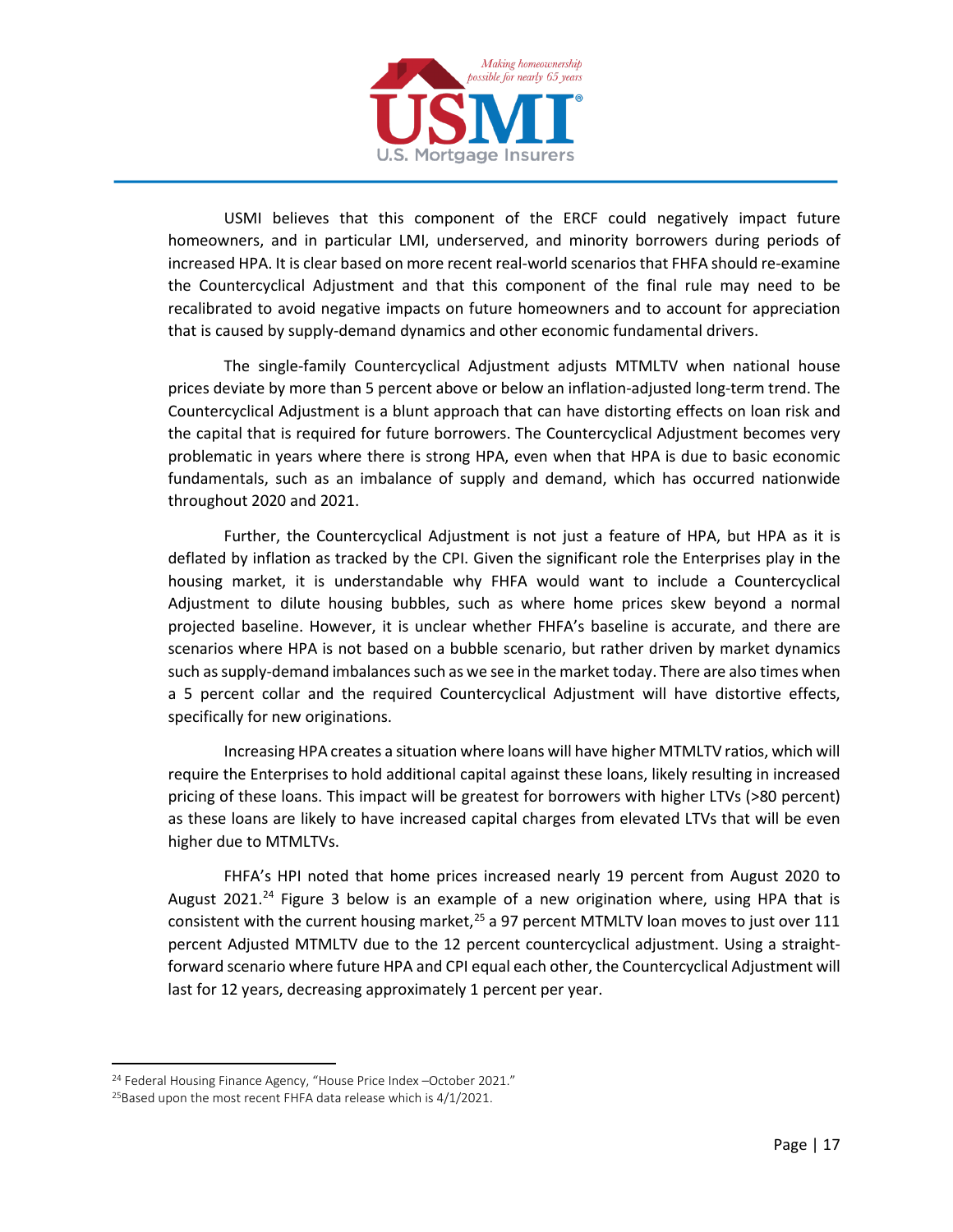

USMI believes that this component of the ERCF could negatively impact future homeowners, and in particular LMI, underserved, and minority borrowers during periods of increased HPA. It is clear based on more recent real-world scenarios that FHFA should re-examine the Countercyclical Adjustment and that this component of the final rule may need to be recalibrated to avoid negative impacts on future homeowners and to account for appreciation that is caused by supply-demand dynamics and other economic fundamental drivers.

The single-family Countercyclical Adjustment adjusts MTMLTV when national house prices deviate by more than 5 percent above or below an inflation-adjusted long-term trend. The Countercyclical Adjustment is a blunt approach that can have distorting effects on loan risk and the capital that is required for future borrowers. The Countercyclical Adjustment becomes very problematic in years where there is strong HPA, even when that HPA is due to basic economic fundamentals, such as an imbalance of supply and demand, which has occurred nationwide throughout 2020 and 2021.

Further, the Countercyclical Adjustment is not just a feature of HPA, but HPA as it is deflated by inflation as tracked by the CPI. Given the significant role the Enterprises play in the housing market, it is understandable why FHFA would want to include a Countercyclical Adjustment to dilute housing bubbles, such as where home prices skew beyond a normal projected baseline. However, it is unclear whether FHFA's baseline is accurate, and there are scenarios where HPA is not based on a bubble scenario, but rather driven by market dynamics such as supply-demand imbalances such as we see in the market today. There are also times when a 5 percent collar and the required Countercyclical Adjustment will have distortive effects, specifically for new originations.

Increasing HPA creates a situation where loans will have higher MTMLTV ratios, which will require the Enterprises to hold additional capital against these loans, likely resulting in increased pricing of these loans. This impact will be greatest for borrowers with higher LTVs (>80 percent) as these loans are likely to have increased capital charges from elevated LTVs that will be even higher due to MTMLTVs.

FHFA's HPI noted that home prices increased nearly 19 percent from August 2020 to August 2021.<sup>[24](#page-16-0)</sup> Figure 3 below is an example of a new origination where, using HPA that is consistent with the current housing market,<sup>[25](#page-16-1)</sup> a 97 percent MTMLTV loan moves to just over 111 percent Adjusted MTMLTV due to the 12 percent countercyclical adjustment. Using a straightforward scenario where future HPA and CPI equal each other, the Countercyclical Adjustment will last for 12 years, decreasing approximately 1 percent per year.

<span id="page-16-0"></span><sup>&</sup>lt;sup>24</sup> Federal Housing Finance Agency, "House Price Index -October 2021."

<span id="page-16-1"></span> $25$ Based upon the most recent FHFA data release which is  $4/1/2021$ .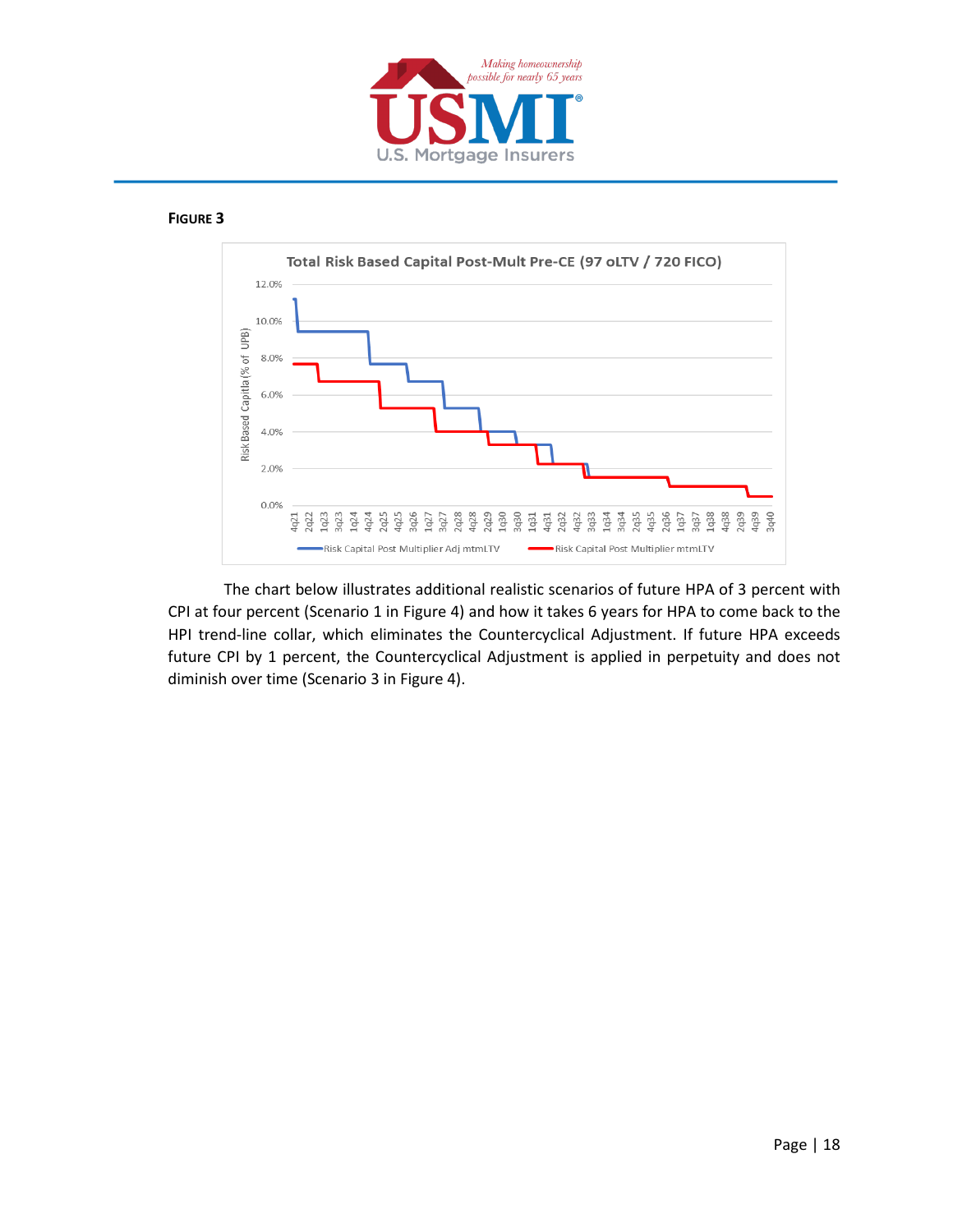

#### **FIGURE 3**



The chart below illustrates additional realistic scenarios of future HPA of 3 percent with CPI at four percent (Scenario 1 in Figure 4) and how it takes 6 years for HPA to come back to the HPI trend-line collar, which eliminates the Countercyclical Adjustment. If future HPA exceeds future CPI by 1 percent, the Countercyclical Adjustment is applied in perpetuity and does not diminish over time (Scenario 3 in Figure 4).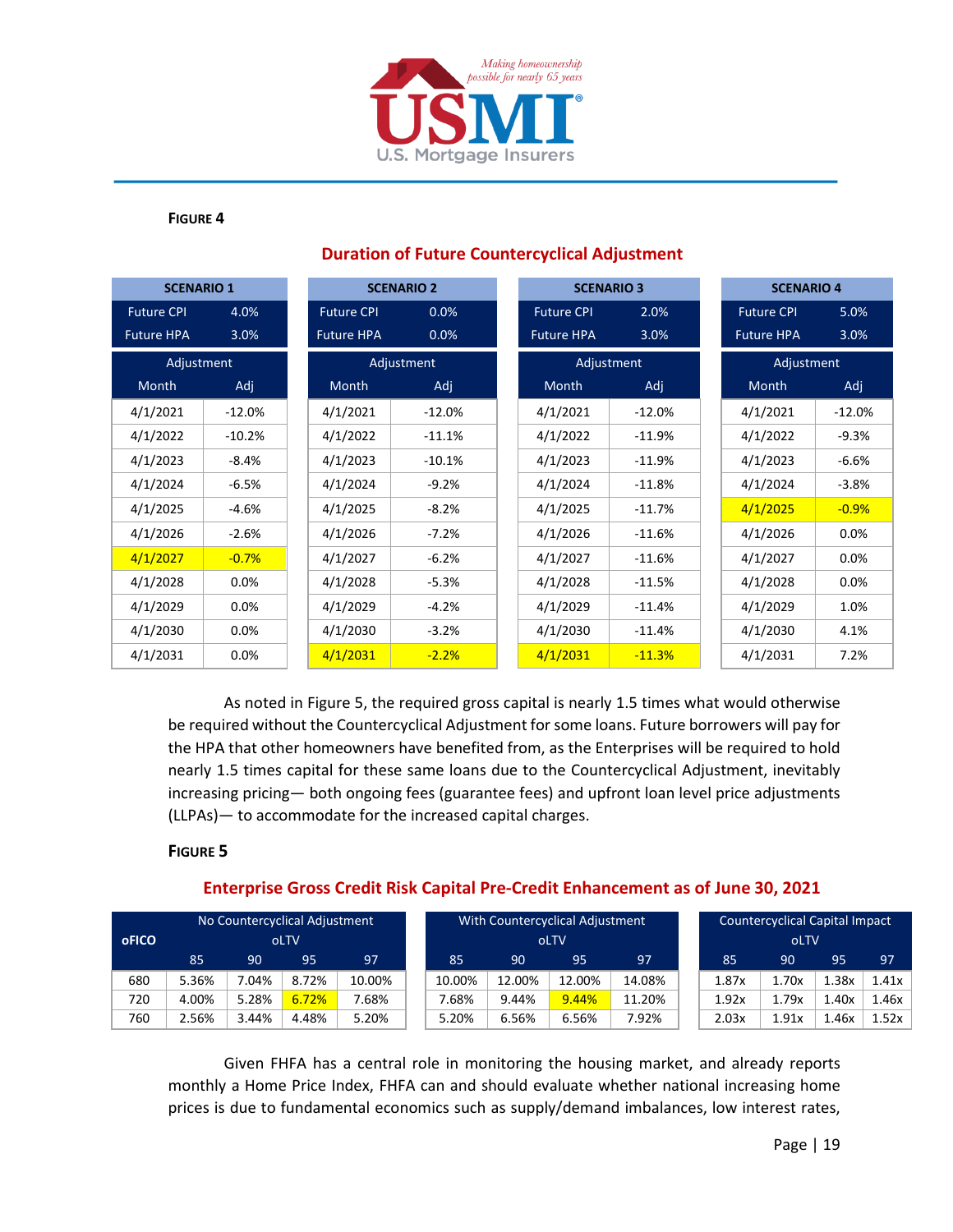

#### **FIGURE 4**

| <b>SCENARIO 1</b> |          |                   | <b>SCENARIO 2</b> | <b>SCENARIO 3</b> |          |  | <b>SCENARIO 4</b> |          |  |
|-------------------|----------|-------------------|-------------------|-------------------|----------|--|-------------------|----------|--|
| <b>Future CPI</b> | 4.0%     | <b>Future CPI</b> | 0.0%              | <b>Future CPI</b> | 2.0%     |  | <b>Future CPI</b> | 5.0%     |  |
| <b>Future HPA</b> | 3.0%     | <b>Future HPA</b> | 0.0%              | <b>Future HPA</b> | 3.0%     |  | <b>Future HPA</b> | 3.0%     |  |
| Adjustment        |          |                   | Adjustment        | Adjustment        |          |  | Adjustment        |          |  |
| Month             | Adj      | Month             | Adj               | Month             | Adj      |  | Month             | Adj      |  |
| 4/1/2021          | $-12.0%$ | 4/1/2021          | $-12.0%$          | 4/1/2021          | $-12.0%$ |  | 4/1/2021          | $-12.0%$ |  |
| 4/1/2022          | $-10.2%$ | 4/1/2022          | $-11.1%$          | 4/1/2022          | $-11.9%$ |  | 4/1/2022          | $-9.3%$  |  |
| 4/1/2023          | $-8.4%$  | 4/1/2023          | $-10.1%$          | 4/1/2023          | $-11.9%$ |  | 4/1/2023          | $-6.6%$  |  |
| 4/1/2024          | $-6.5%$  | 4/1/2024          | $-9.2%$           | 4/1/2024          | $-11.8%$ |  | 4/1/2024          | $-3.8%$  |  |
| 4/1/2025          | $-4.6%$  | 4/1/2025          | $-8.2%$           | 4/1/2025          | $-11.7%$ |  | 4/1/2025          | $-0.9%$  |  |
| 4/1/2026          | $-2.6%$  | 4/1/2026          | $-7.2%$           | 4/1/2026          | $-11.6%$ |  | 4/1/2026          | 0.0%     |  |
| 4/1/2027          | $-0.7%$  | 4/1/2027          | $-6.2%$           | 4/1/2027          | $-11.6%$ |  | 4/1/2027          | 0.0%     |  |
| 4/1/2028          | 0.0%     | 4/1/2028          | $-5.3%$           | 4/1/2028          | $-11.5%$ |  | 4/1/2028          | 0.0%     |  |
| 4/1/2029          | 0.0%     | 4/1/2029          | $-4.2%$           | 4/1/2029          | $-11.4%$ |  | 4/1/2029          | 1.0%     |  |
| 4/1/2030          | 0.0%     | 4/1/2030          | $-3.2%$           | 4/1/2030          | $-11.4%$ |  | 4/1/2030          | 4.1%     |  |
| 4/1/2031          | 0.0%     | 4/1/2031          | $-2.2%$           | 4/1/2031          | $-11.3%$ |  | 4/1/2031          | 7.2%     |  |

### **Duration of Future Countercyclical Adjustment**

As noted in Figure 5, the required gross capital is nearly 1.5 times what would otherwise be required without the Countercyclical Adjustment for some loans. Future borrowers will pay for the HPA that other homeowners have benefited from, as the Enterprises will be required to hold nearly 1.5 times capital for these same loans due to the Countercyclical Adjustment, inevitably increasing pricing— both ongoing fees (guarantee fees) and upfront loan level price adjustments (LLPAs)— to accommodate for the increased capital charges.

#### **FIGURE 5**

#### **Enterprise Gross Credit Risk Capital Pre-Credit Enhancement as of June 30, 2021**

| No Countercyclical Adjustment |       |       |       |        | With Countercyclical Adjustment |        |        |        |        | <b>Countercyclical Capital Impact</b> |       |       |       |       |
|-------------------------------|-------|-------|-------|--------|---------------------------------|--------|--------|--------|--------|---------------------------------------|-------|-------|-------|-------|
| oFICO                         |       |       | oLTV  |        |                                 |        |        | oLTV   |        |                                       |       | oLTV  |       |       |
|                               | 85    | 90    | 95    | 97     |                                 | 85     | 90     | 95     | 97     |                                       | 85    | 90    | 95    | 97    |
| 680                           | 5.36% | .04%  | 8.72% | 10.00% |                                 | 10.00% | 12.00% | 12.00% | 14.08% |                                       | 1.87x | 1.70x | 1.38x | 1.41x |
| 720                           | 4.00% | 5.28% | 6.72% | 7.68%  |                                 | 7.68%  | 9.44%  | 9.44%  | 11.20% |                                       | 1.92x | 1.79x | 1.40x | 1.46x |
| 760                           | 2.56% | 3.44% | 4.48% | 5.20%  |                                 | 5.20%  | 6.56%  | 6.56%  | 7.92%  |                                       | 2.03x | 1.91x | 1.46x | 1.52x |

Given FHFA has a central role in monitoring the housing market, and already reports monthly a Home Price Index, FHFA can and should evaluate whether national increasing home prices is due to fundamental economics such as supply/demand imbalances, low interest rates,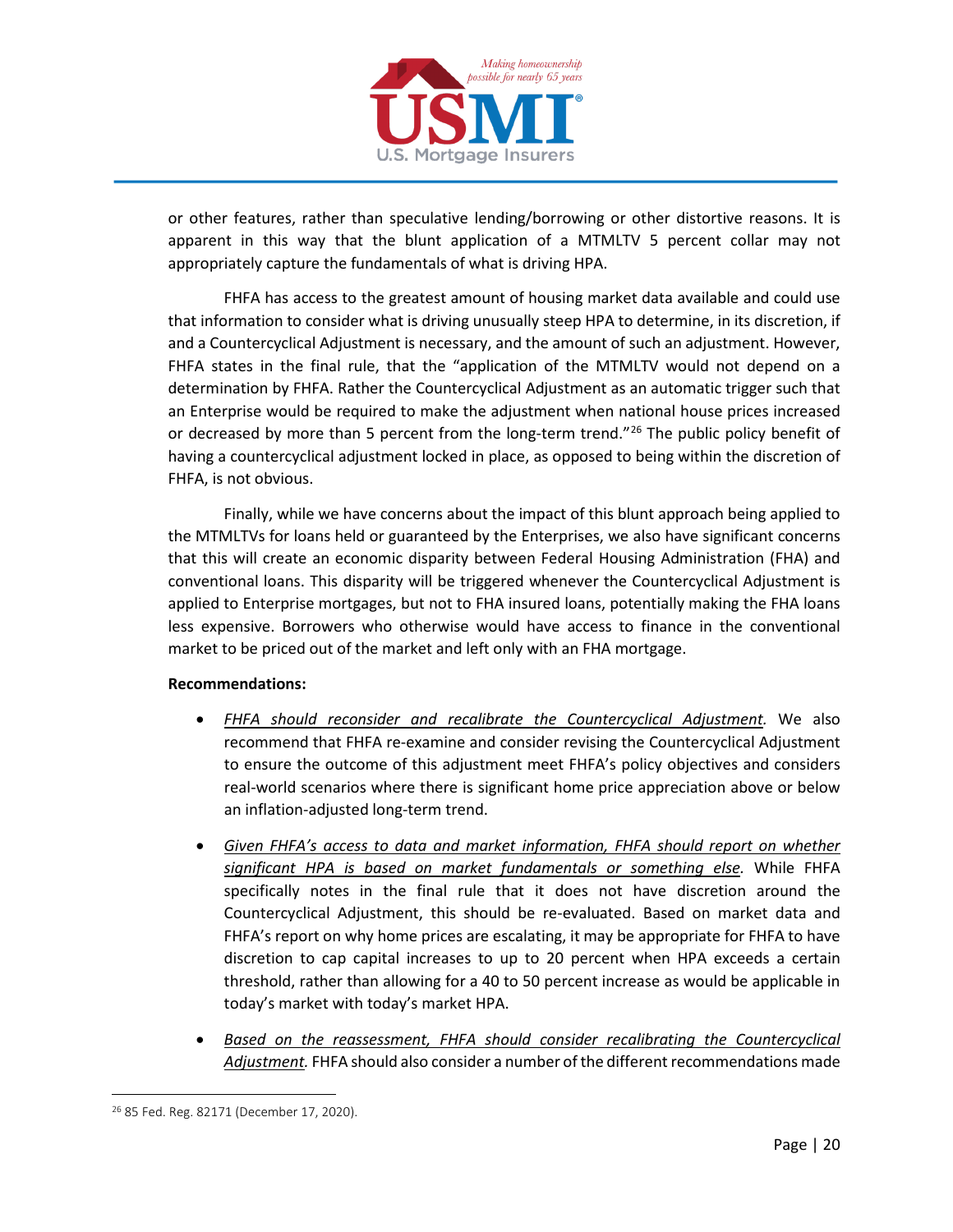

or other features, rather than speculative lending/borrowing or other distortive reasons. It is apparent in this way that the blunt application of a MTMLTV 5 percent collar may not appropriately capture the fundamentals of what is driving HPA.

FHFA has access to the greatest amount of housing market data available and could use that information to consider what is driving unusually steep HPA to determine, in its discretion, if and a Countercyclical Adjustment is necessary, and the amount of such an adjustment. However, FHFA states in the final rule, that the "application of the MTMLTV would not depend on a determination by FHFA. Rather the Countercyclical Adjustment as an automatic trigger such that an Enterprise would be required to make the adjustment when national house prices increased or decreased by more than 5 percent from the long-term trend."<sup>26</sup> The public policy benefit of having a countercyclical adjustment locked in place, as opposed to being within the discretion of FHFA, is not obvious.

Finally, while we have concerns about the impact of this blunt approach being applied to the MTMLTVs for loans held or guaranteed by the Enterprises, we also have significant concerns that this will create an economic disparity between Federal Housing Administration (FHA) and conventional loans. This disparity will be triggered whenever the Countercyclical Adjustment is applied to Enterprise mortgages, but not to FHA insured loans, potentially making the FHA loans less expensive. Borrowers who otherwise would have access to finance in the conventional market to be priced out of the market and left only with an FHA mortgage.

#### **Recommendations:**

- *FHFA should reconsider and recalibrate the Countercyclical Adjustment.* We also recommend that FHFA re-examine and consider revising the Countercyclical Adjustment to ensure the outcome of this adjustment meet FHFA's policy objectives and considers real-world scenarios where there is significant home price appreciation above or below an inflation-adjusted long-term trend.
- *Given FHFA's access to data and market information, FHFA should report on whether significant HPA is based on market fundamentals or something else.* While FHFA specifically notes in the final rule that it does not have discretion around the Countercyclical Adjustment, this should be re-evaluated. Based on market data and FHFA's report on why home prices are escalating, it may be appropriate for FHFA to have discretion to cap capital increases to up to 20 percent when HPA exceeds a certain threshold, rather than allowing for a 40 to 50 percent increase as would be applicable in today's market with today's market HPA.
- *Based on the reassessment, FHFA should consider recalibrating the Countercyclical Adjustment.* FHFA should also consider a number of the different recommendations made

<span id="page-19-0"></span><sup>26</sup> 85 Fed. Reg. 82171 (December 17, 2020).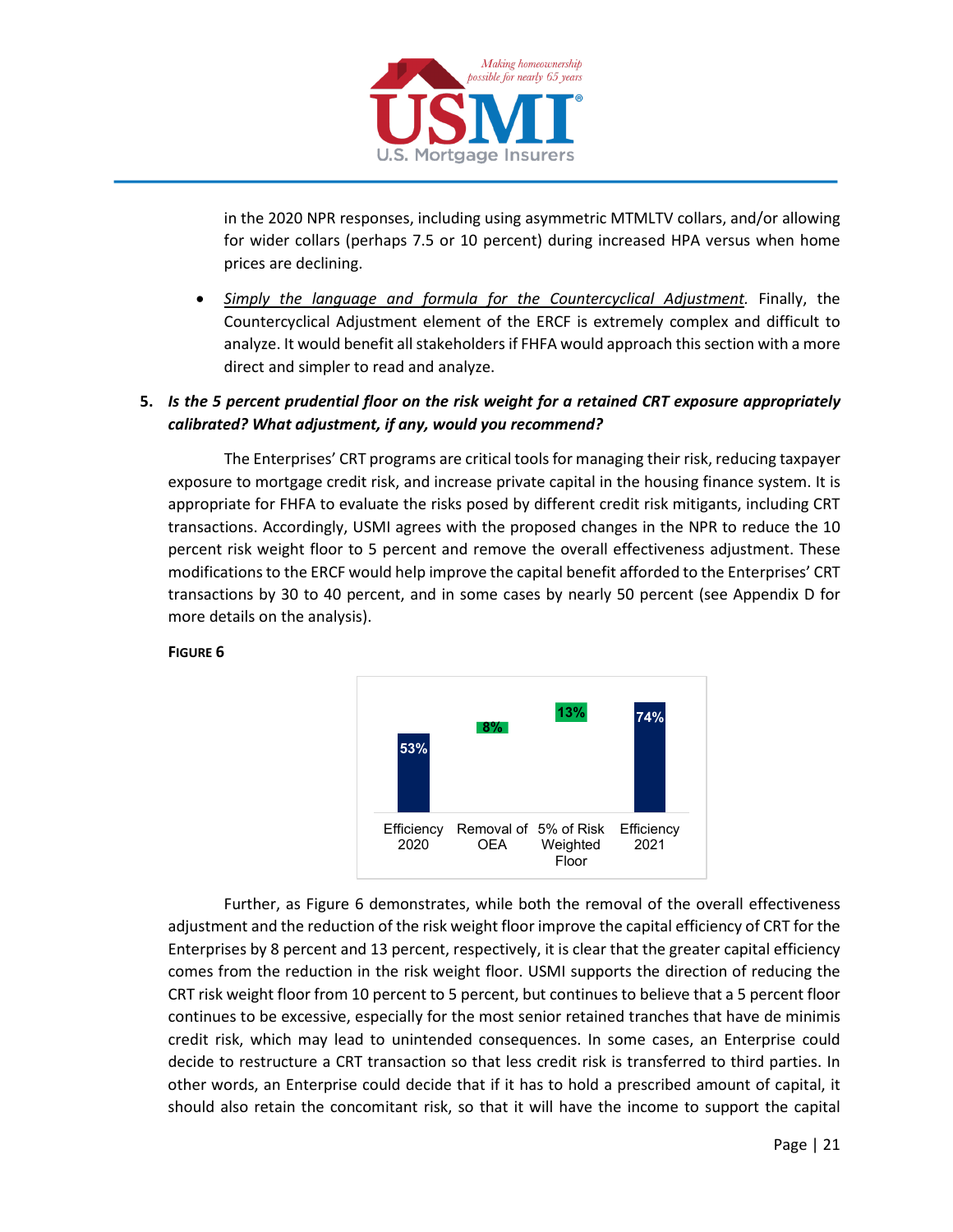

in the 2020 NPR responses, including using asymmetric MTMLTV collars, and/or allowing for wider collars (perhaps 7.5 or 10 percent) during increased HPA versus when home prices are declining.

• *Simply the language and formula for the Countercyclical Adjustment.* Finally, the Countercyclical Adjustment element of the ERCF is extremely complex and difficult to analyze. It would benefit all stakeholders if FHFA would approach this section with a more direct and simpler to read and analyze.

### **5.** *Is the 5 percent prudential floor on the risk weight for a retained CRT exposure appropriately calibrated? What adjustment, if any, would you recommend?*

The Enterprises' CRT programs are critical tools for managing their risk, reducing taxpayer exposure to mortgage credit risk, and increase private capital in the housing finance system. It is appropriate for FHFA to evaluate the risks posed by different credit risk mitigants, including CRT transactions. Accordingly, USMI agrees with the proposed changes in the NPR to reduce the 10 percent risk weight floor to 5 percent and remove the overall effectiveness adjustment. These modifications to the ERCF would help improve the capital benefit afforded to the Enterprises' CRT transactions by 30 to 40 percent, and in some cases by nearly 50 percent (see Appendix D for more details on the analysis).



### **FIGURE 6**

Further, as Figure 6 demonstrates, while both the removal of the overall effectiveness adjustment and the reduction of the risk weight floor improve the capital efficiency of CRT for the Enterprises by 8 percent and 13 percent, respectively, it is clear that the greater capital efficiency comes from the reduction in the risk weight floor. USMI supports the direction of reducing the CRT risk weight floor from 10 percent to 5 percent, but continues to believe that a 5 percent floor continues to be excessive, especially for the most senior retained tranches that have de minimis credit risk, which may lead to unintended consequences. In some cases, an Enterprise could decide to restructure a CRT transaction so that less credit risk is transferred to third parties. In other words, an Enterprise could decide that if it has to hold a prescribed amount of capital, it should also retain the concomitant risk, so that it will have the income to support the capital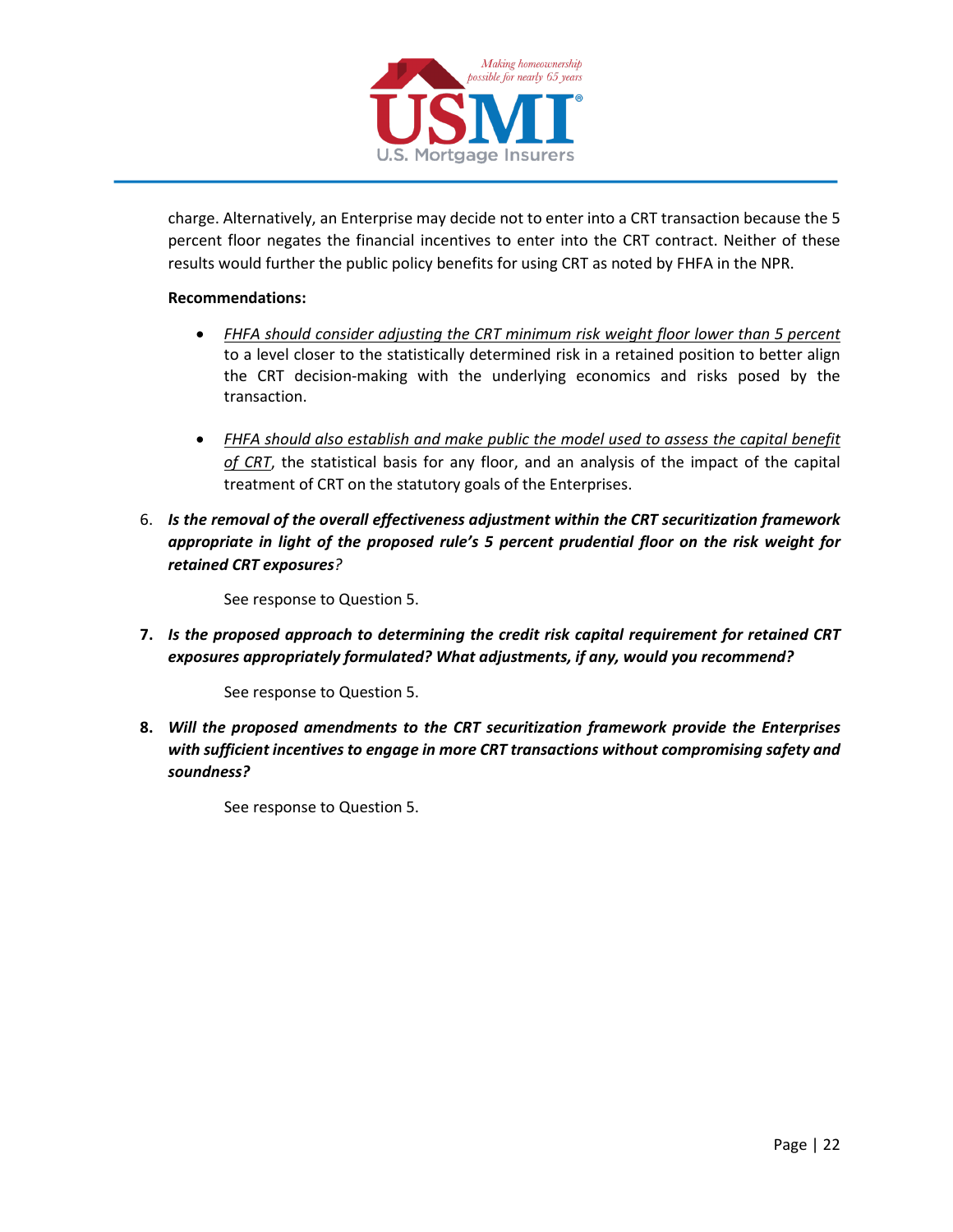

charge. Alternatively, an Enterprise may decide not to enter into a CRT transaction because the 5 percent floor negates the financial incentives to enter into the CRT contract. Neither of these results would further the public policy benefits for using CRT as noted by FHFA in the NPR.

#### **Recommendations:**

- *FHFA should consider adjusting the CRT minimum risk weight floor lower than 5 percent* to a level closer to the statistically determined risk in a retained position to better align the CRT decision-making with the underlying economics and risks posed by the transaction.
- *FHFA should also establish and make public the model used to assess the capital benefit of CRT*, the statistical basis for any floor, and an analysis of the impact of the capital treatment of CRT on the statutory goals of the Enterprises.
- 6. *Is the removal of the overall effectiveness adjustment within the CRT securitization framework appropriate in light of the proposed rule's 5 percent prudential floor on the risk weight for retained CRT exposures?*

See response to Question 5.

**7.** *Is the proposed approach to determining the credit risk capital requirement for retained CRT exposures appropriately formulated? What adjustments, if any, would you recommend?*

See response to Question 5.

**8.** *Will the proposed amendments to the CRT securitization framework provide the Enterprises with sufficient incentives to engage in more CRT transactions without compromising safety and soundness?*

See response to Question 5.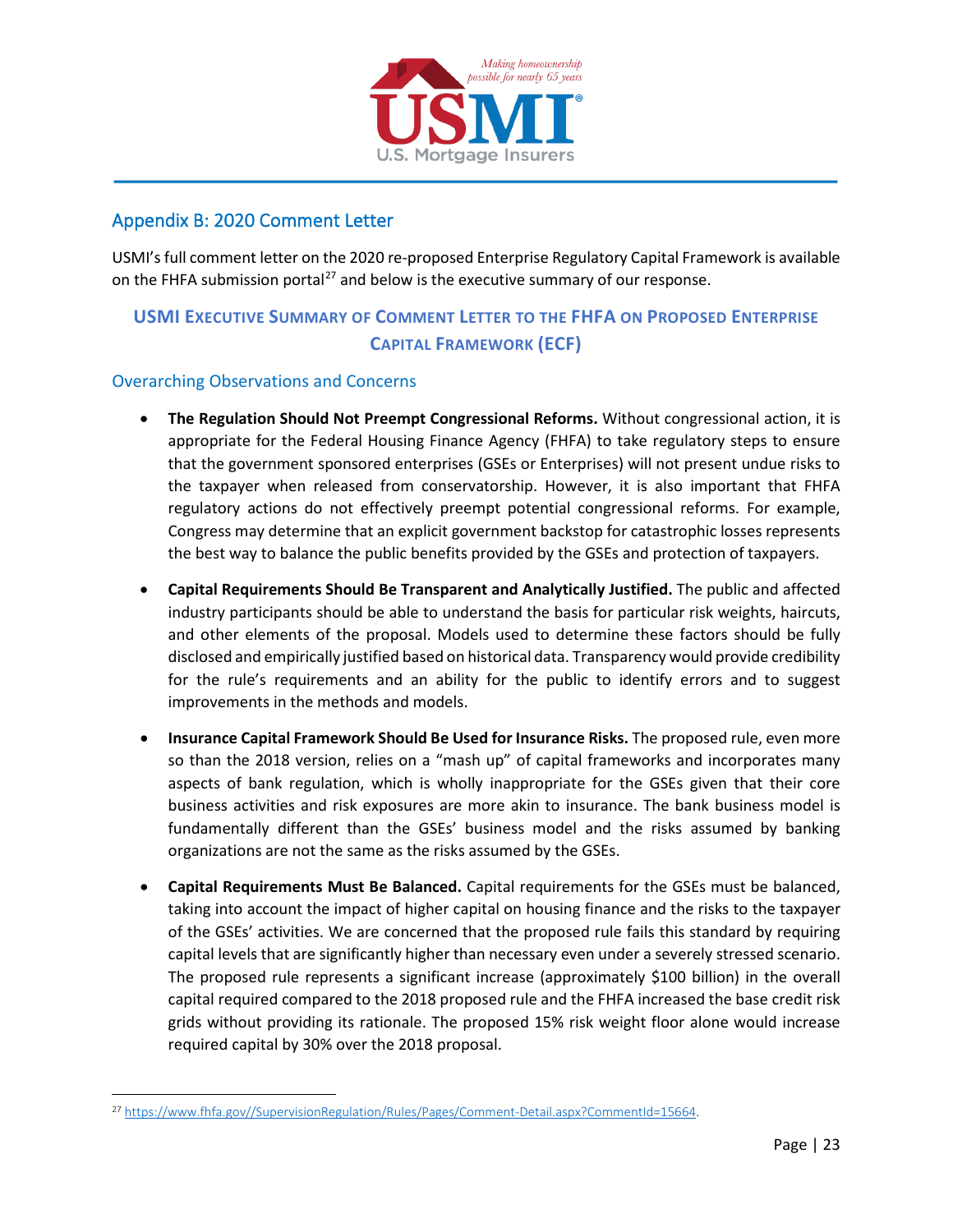

# <span id="page-22-0"></span>Appendix B: 2020 Comment Letter

USMI's full comment letter on the 2020 re-proposed Enterprise Regulatory Capital Framework is available on the FHFA submission portal<sup>[27](#page-22-1)</sup> and below is the executive summary of our response.

# **USMI EXECUTIVE SUMMARY OF COMMENT LETTER TO THE FHFA ON PROPOSED ENTERPRISE CAPITAL FRAMEWORK (ECF)**

#### Overarching Observations and Concerns

- **The Regulation Should Not Preempt Congressional Reforms.** Without congressional action, it is appropriate for the Federal Housing Finance Agency (FHFA) to take regulatory steps to ensure that the government sponsored enterprises (GSEs or Enterprises) will not present undue risks to the taxpayer when released from conservatorship. However, it is also important that FHFA regulatory actions do not effectively preempt potential congressional reforms. For example, Congress may determine that an explicit government backstop for catastrophic losses represents the best way to balance the public benefits provided by the GSEs and protection of taxpayers.
- **Capital Requirements Should Be Transparent and Analytically Justified.** The public and affected industry participants should be able to understand the basis for particular risk weights, haircuts, and other elements of the proposal. Models used to determine these factors should be fully disclosed and empirically justified based on historical data. Transparency would provide credibility for the rule's requirements and an ability for the public to identify errors and to suggest improvements in the methods and models.
- **Insurance Capital Framework Should Be Used for Insurance Risks.** The proposed rule, even more so than the 2018 version, relies on a "mash up" of capital frameworks and incorporates many aspects of bank regulation, which is wholly inappropriate for the GSEs given that their core business activities and risk exposures are more akin to insurance. The bank business model is fundamentally different than the GSEs' business model and the risks assumed by banking organizations are not the same as the risks assumed by the GSEs.
- **Capital Requirements Must Be Balanced.** Capital requirements for the GSEs must be balanced, taking into account the impact of higher capital on housing finance and the risks to the taxpayer of the GSEs' activities. We are concerned that the proposed rule fails this standard by requiring capital levels that are significantly higher than necessary even under a severely stressed scenario. The proposed rule represents a significant increase (approximately \$100 billion) in the overall capital required compared to the 2018 proposed rule and the FHFA increased the base credit risk grids without providing its rationale. The proposed 15% risk weight floor alone would increase required capital by 30% over the 2018 proposal.

<span id="page-22-1"></span><sup>27</sup> [https://www.fhfa.gov//SupervisionRegulation/Rules/Pages/Comment-Detail.aspx?CommentId=15664.](https://www.fhfa.gov/SupervisionRegulation/Rules/Pages/Comment-Detail.aspx?CommentId=15664)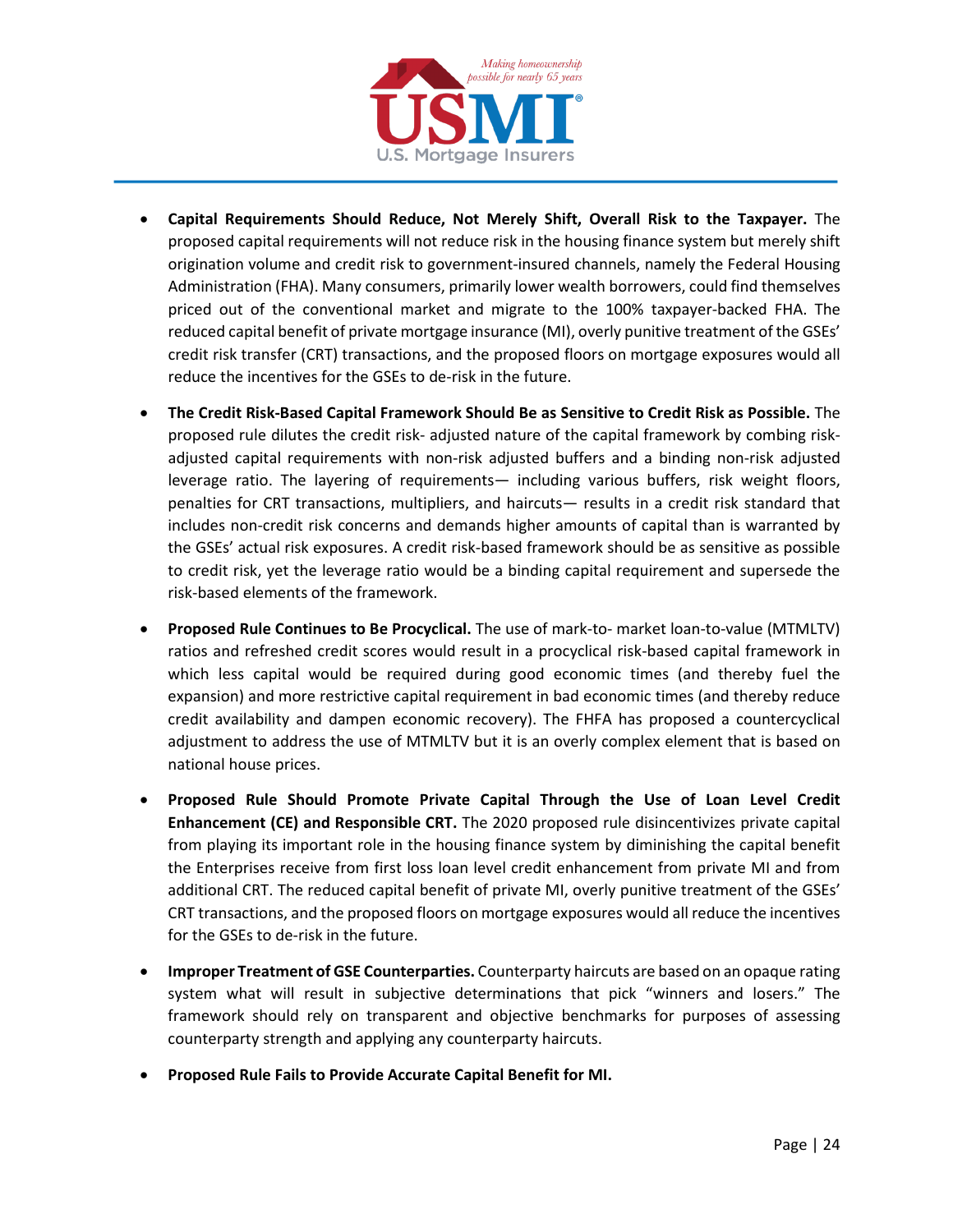

- **Capital Requirements Should Reduce, Not Merely Shift, Overall Risk to the Taxpayer.** The proposed capital requirements will not reduce risk in the housing finance system but merely shift origination volume and credit risk to government-insured channels, namely the Federal Housing Administration (FHA). Many consumers, primarily lower wealth borrowers, could find themselves priced out of the conventional market and migrate to the 100% taxpayer-backed FHA. The reduced capital benefit of private mortgage insurance (MI), overly punitive treatment of the GSEs' credit risk transfer (CRT) transactions, and the proposed floors on mortgage exposures would all reduce the incentives for the GSEs to de-risk in the future.
- **The Credit Risk-Based Capital Framework Should Be as Sensitive to Credit Risk as Possible.** The proposed rule dilutes the credit risk- adjusted nature of the capital framework by combing riskadjusted capital requirements with non-risk adjusted buffers and a binding non-risk adjusted leverage ratio. The layering of requirements— including various buffers, risk weight floors, penalties for CRT transactions, multipliers, and haircuts— results in a credit risk standard that includes non-credit risk concerns and demands higher amounts of capital than is warranted by the GSEs' actual risk exposures. A credit risk-based framework should be as sensitive as possible to credit risk, yet the leverage ratio would be a binding capital requirement and supersede the risk-based elements of the framework.
- **Proposed Rule Continues to Be Procyclical.** The use of mark-to- market loan-to-value (MTMLTV) ratios and refreshed credit scores would result in a procyclical risk-based capital framework in which less capital would be required during good economic times (and thereby fuel the expansion) and more restrictive capital requirement in bad economic times (and thereby reduce credit availability and dampen economic recovery). The FHFA has proposed a countercyclical adjustment to address the use of MTMLTV but it is an overly complex element that is based on national house prices.
- **Proposed Rule Should Promote Private Capital Through the Use of Loan Level Credit Enhancement (CE) and Responsible CRT.** The 2020 proposed rule disincentivizes private capital from playing its important role in the housing finance system by diminishing the capital benefit the Enterprises receive from first loss loan level credit enhancement from private MI and from additional CRT. The reduced capital benefit of private MI, overly punitive treatment of the GSEs' CRT transactions, and the proposed floors on mortgage exposures would all reduce the incentives for the GSEs to de-risk in the future.
- **Improper Treatment of GSE Counterparties.** Counterparty haircuts are based on an opaque rating system what will result in subjective determinations that pick "winners and losers." The framework should rely on transparent and objective benchmarks for purposes of assessing counterparty strength and applying any counterparty haircuts.
- **Proposed Rule Fails to Provide Accurate Capital Benefit for MI.**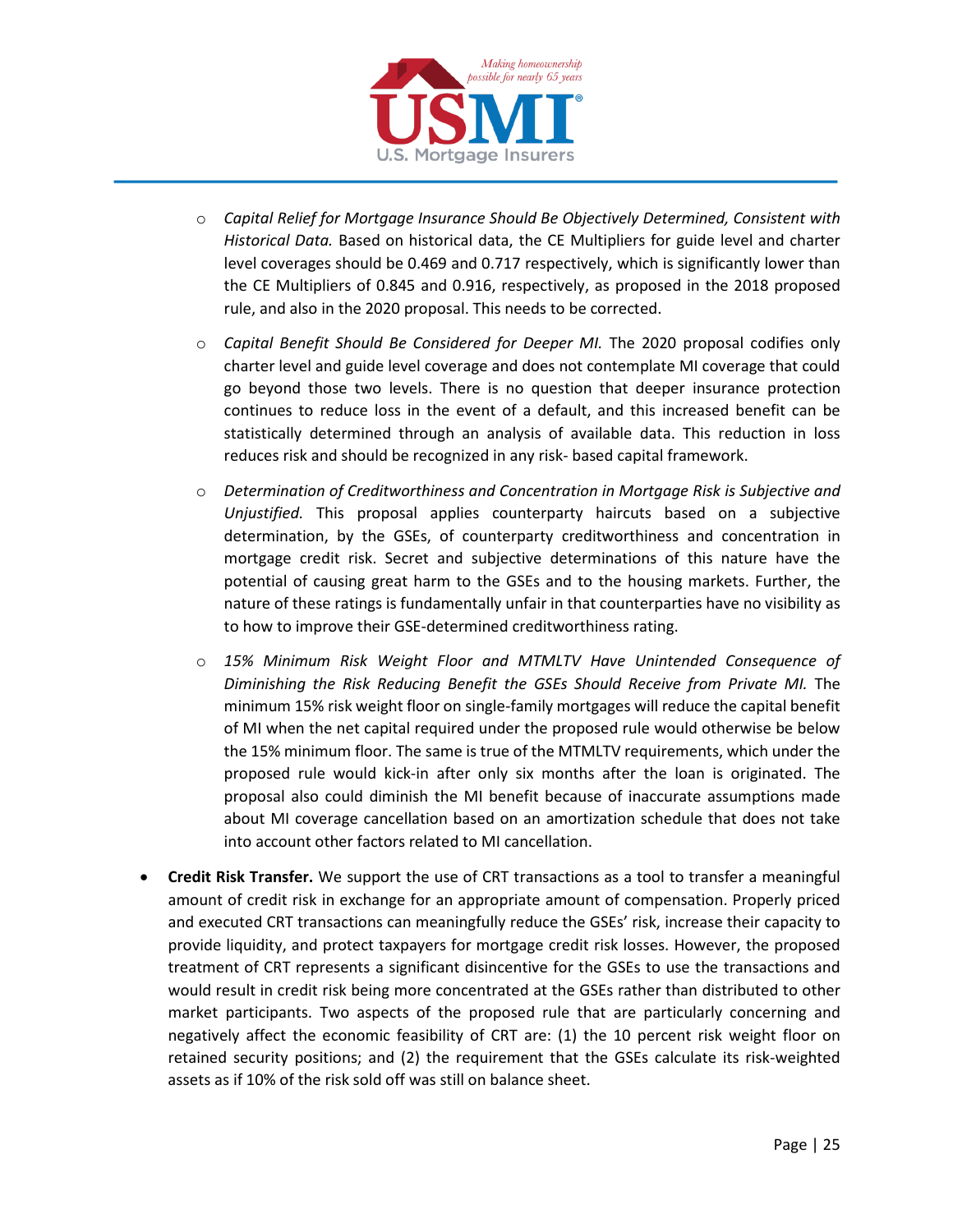

- o *Capital Relief for Mortgage Insurance Should Be Objectively Determined, Consistent with Historical Data.* Based on historical data, the CE Multipliers for guide level and charter level coverages should be 0.469 and 0.717 respectively, which is significantly lower than the CE Multipliers of 0.845 and 0.916, respectively, as proposed in the 2018 proposed rule, and also in the 2020 proposal. This needs to be corrected.
- o *Capital Benefit Should Be Considered for Deeper MI.* The 2020 proposal codifies only charter level and guide level coverage and does not contemplate MI coverage that could go beyond those two levels. There is no question that deeper insurance protection continues to reduce loss in the event of a default, and this increased benefit can be statistically determined through an analysis of available data. This reduction in loss reduces risk and should be recognized in any risk- based capital framework.
- o *Determination of Creditworthiness and Concentration in Mortgage Risk is Subjective and Unjustified.* This proposal applies counterparty haircuts based on a subjective determination, by the GSEs, of counterparty creditworthiness and concentration in mortgage credit risk. Secret and subjective determinations of this nature have the potential of causing great harm to the GSEs and to the housing markets. Further, the nature of these ratings is fundamentally unfair in that counterparties have no visibility as to how to improve their GSE-determined creditworthiness rating.
- o *15% Minimum Risk Weight Floor and MTMLTV Have Unintended Consequence of Diminishing the Risk Reducing Benefit the GSEs Should Receive from Private MI.* The minimum 15% risk weight floor on single-family mortgages will reduce the capital benefit of MI when the net capital required under the proposed rule would otherwise be below the 15% minimum floor. The same is true of the MTMLTV requirements, which under the proposed rule would kick-in after only six months after the loan is originated. The proposal also could diminish the MI benefit because of inaccurate assumptions made about MI coverage cancellation based on an amortization schedule that does not take into account other factors related to MI cancellation.
- **Credit Risk Transfer.** We support the use of CRT transactions as a tool to transfer a meaningful amount of credit risk in exchange for an appropriate amount of compensation. Properly priced and executed CRT transactions can meaningfully reduce the GSEs' risk, increase their capacity to provide liquidity, and protect taxpayers for mortgage credit risk losses. However, the proposed treatment of CRT represents a significant disincentive for the GSEs to use the transactions and would result in credit risk being more concentrated at the GSEs rather than distributed to other market participants. Two aspects of the proposed rule that are particularly concerning and negatively affect the economic feasibility of CRT are: (1) the 10 percent risk weight floor on retained security positions; and (2) the requirement that the GSEs calculate its risk-weighted assets as if 10% of the risk sold off was still on balance sheet.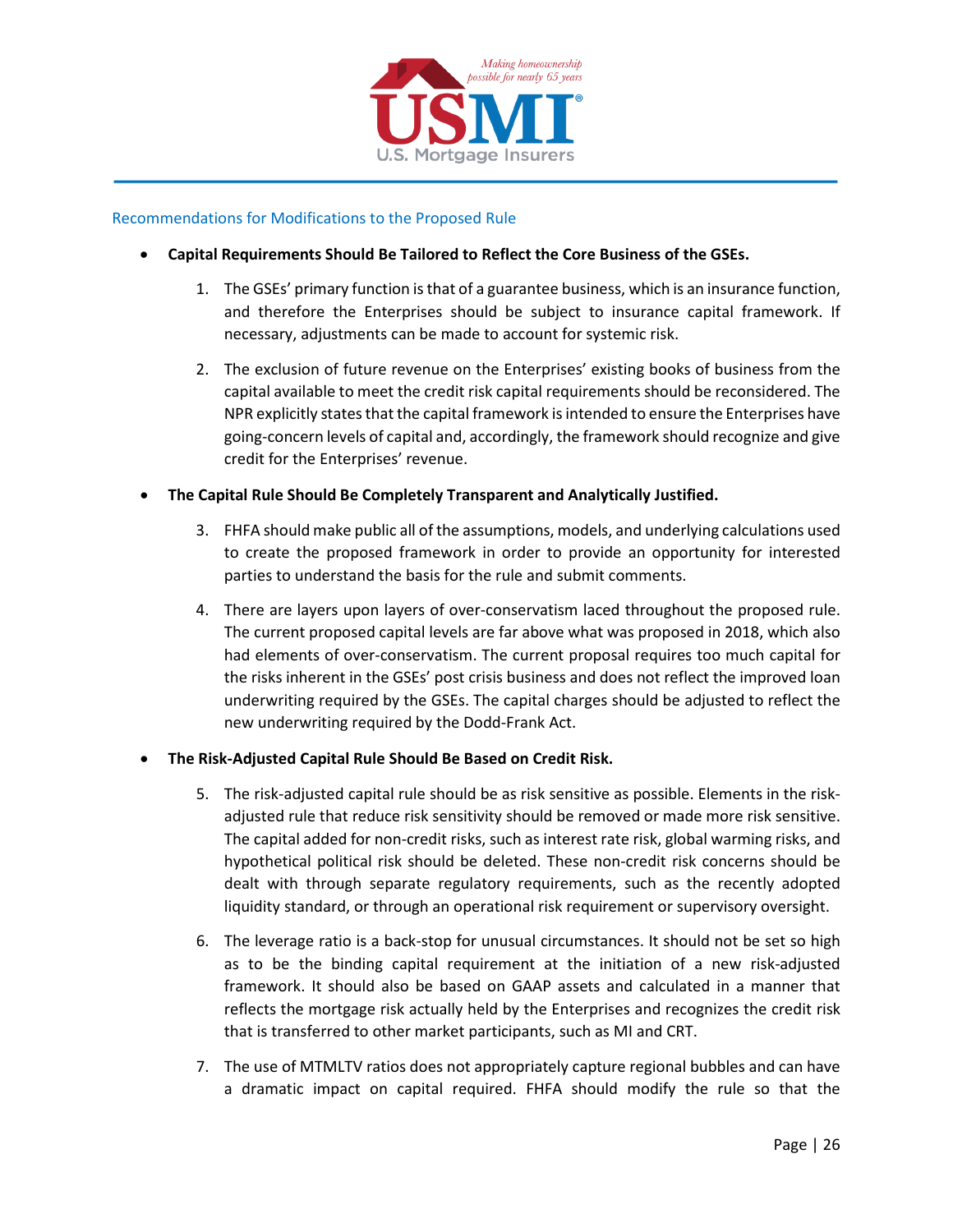

#### Recommendations for Modifications to the Proposed Rule

- **Capital Requirements Should Be Tailored to Reflect the Core Business of the GSEs.**
	- 1. The GSEs' primary function is that of a guarantee business, which is an insurance function, and therefore the Enterprises should be subject to insurance capital framework. If necessary, adjustments can be made to account for systemic risk.
	- 2. The exclusion of future revenue on the Enterprises' existing books of business from the capital available to meet the credit risk capital requirements should be reconsidered. The NPR explicitly states that the capital framework is intended to ensure the Enterprises have going-concern levels of capital and, accordingly, the framework should recognize and give credit for the Enterprises' revenue.
- **The Capital Rule Should Be Completely Transparent and Analytically Justified.**
	- 3. FHFA should make public all of the assumptions, models, and underlying calculations used to create the proposed framework in order to provide an opportunity for interested parties to understand the basis for the rule and submit comments.
	- 4. There are layers upon layers of over-conservatism laced throughout the proposed rule. The current proposed capital levels are far above what was proposed in 2018, which also had elements of over-conservatism. The current proposal requires too much capital for the risks inherent in the GSEs' post crisis business and does not reflect the improved loan underwriting required by the GSEs. The capital charges should be adjusted to reflect the new underwriting required by the Dodd-Frank Act.

#### • **The Risk-Adjusted Capital Rule Should Be Based on Credit Risk.**

- 5. The risk-adjusted capital rule should be as risk sensitive as possible. Elements in the riskadjusted rule that reduce risk sensitivity should be removed or made more risk sensitive. The capital added for non-credit risks, such as interest rate risk, global warming risks, and hypothetical political risk should be deleted. These non-credit risk concerns should be dealt with through separate regulatory requirements, such as the recently adopted liquidity standard, or through an operational risk requirement or supervisory oversight.
- 6. The leverage ratio is a back-stop for unusual circumstances. It should not be set so high as to be the binding capital requirement at the initiation of a new risk-adjusted framework. It should also be based on GAAP assets and calculated in a manner that reflects the mortgage risk actually held by the Enterprises and recognizes the credit risk that is transferred to other market participants, such as MI and CRT.
- 7. The use of MTMLTV ratios does not appropriately capture regional bubbles and can have a dramatic impact on capital required. FHFA should modify the rule so that the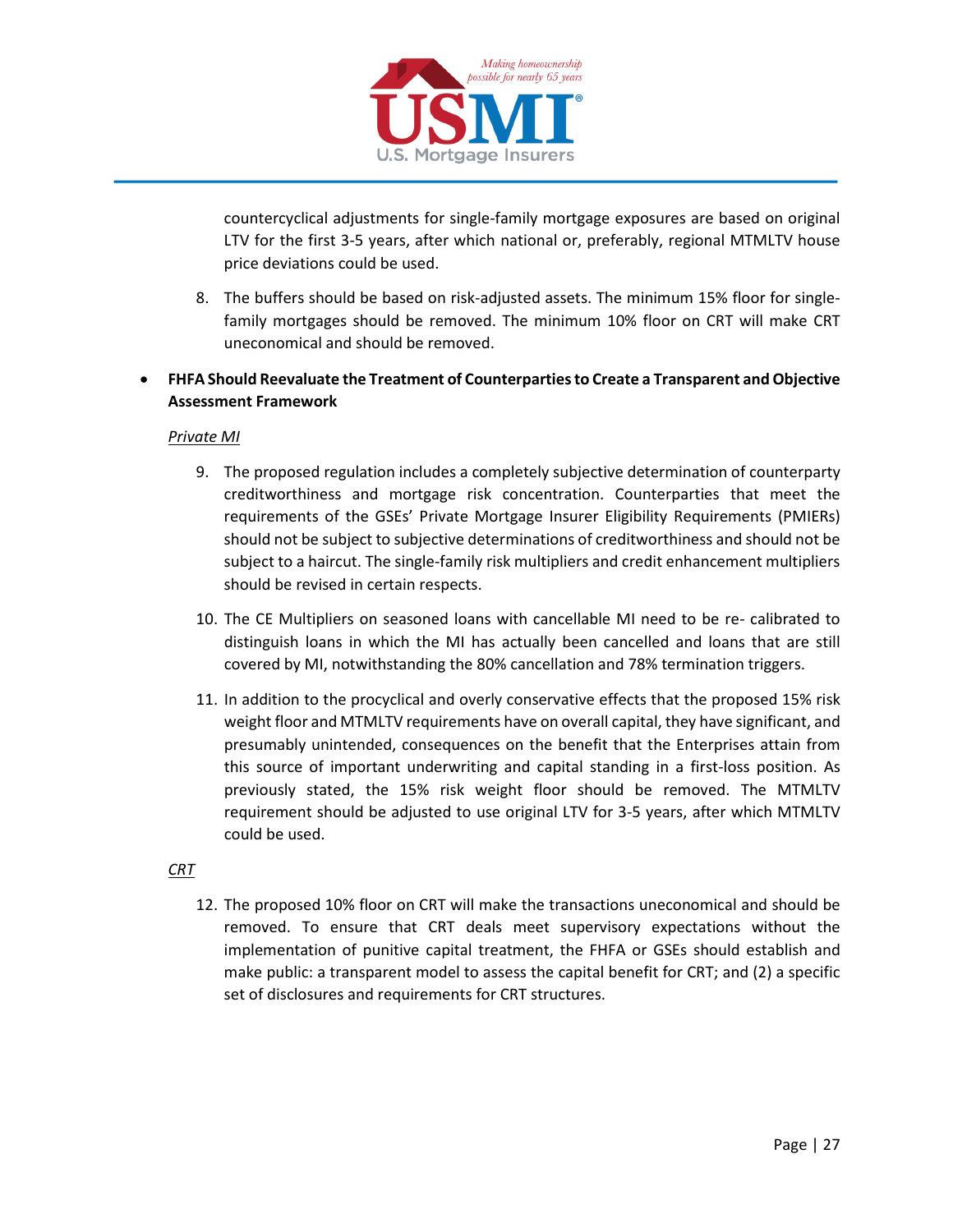

countercyclical adjustments for single-family mortgage exposures are based on original LTV for the first 3-5 years, after which national or, preferably, regional MTMLTV house price deviations could be used.

- 8. The buffers should be based on risk-adjusted assets. The minimum 15% floor for singlefamily mortgages should be removed. The minimum 10% floor on CRT will make CRT uneconomical and should be removed.
- **FHFA Should Reevaluate the Treatment of Counterparties to Create a Transparent and Objective Assessment Framework**

#### *Private MI*

- 9. The proposed regulation includes a completely subjective determination of counterparty creditworthiness and mortgage risk concentration. Counterparties that meet the requirements of the GSEs' Private Mortgage Insurer Eligibility Requirements (PMIERs) should not be subject to subjective determinations of creditworthiness and should not be subject to a haircut. The single-family risk multipliers and credit enhancement multipliers should be revised in certain respects.
- 10. The CE Multipliers on seasoned loans with cancellable MI need to be re- calibrated to distinguish loans in which the MI has actually been cancelled and loans that are still covered by MI, notwithstanding the 80% cancellation and 78% termination triggers.
- 11. In addition to the procyclical and overly conservative effects that the proposed 15% risk weight floor and MTMLTV requirements have on overall capital, they have significant, and presumably unintended, consequences on the benefit that the Enterprises attain from this source of important underwriting and capital standing in a first-loss position. As previously stated, the 15% risk weight floor should be removed. The MTMLTV requirement should be adjusted to use original LTV for 3-5 years, after which MTMLTV could be used.

#### *CRT*

12. The proposed 10% floor on CRT will make the transactions uneconomical and should be removed. To ensure that CRT deals meet supervisory expectations without the implementation of punitive capital treatment, the FHFA or GSEs should establish and make public: a transparent model to assess the capital benefit for CRT; and (2) a specific set of disclosures and requirements for CRT structures.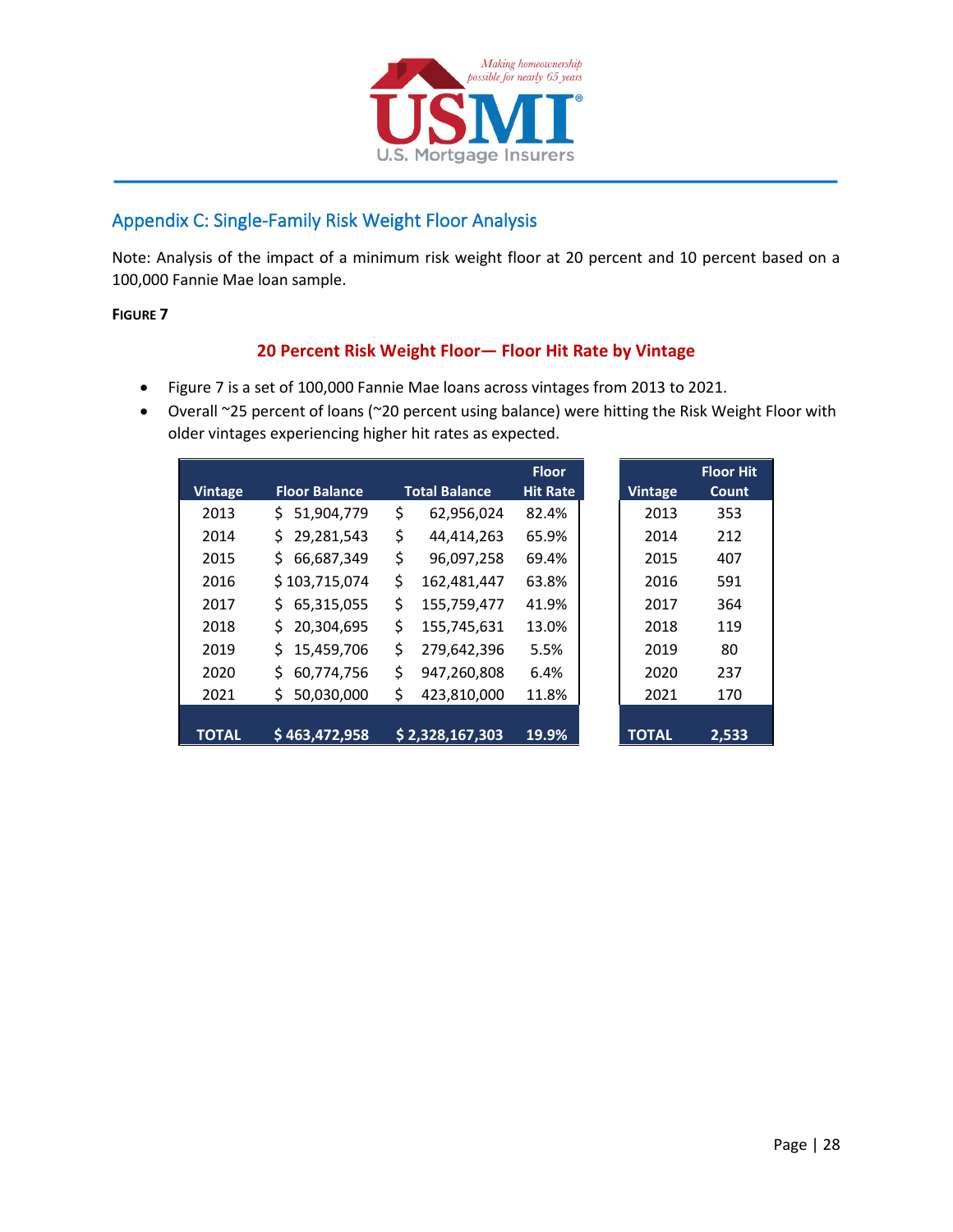

# <span id="page-27-0"></span>Appendix C: Single-Family Risk Weight Floor Analysis

Note: Analysis of the impact of a minimum risk weight floor at 20 percent and 10 percent based on a 100,000 Fannie Mae loan sample.

#### **FIGURE 7**

### **20 Percent Risk Weight Floor— Floor Hit Rate by Vintage**

- Figure 7 is a set of 100,000 Fannie Mae loans across vintages from 2013 to 2021.
- Overall ~25 percent of loans (~20 percent using balance) were hitting the Risk Weight Floor with older vintages experiencing higher hit rates as expected.

|                |                      |                      | <b>Floor</b>    |                | <b>Floor I</b> |
|----------------|----------------------|----------------------|-----------------|----------------|----------------|
| <b>Vintage</b> | <b>Floor Balance</b> | <b>Total Balance</b> | <b>Hit Rate</b> | <b>Vintage</b> | Coun           |
| 2013           | 51,904,779<br>S.     | \$<br>62,956,024     | 82.4%           | 2013           | 353            |
| 2014           | 29,281,543<br>S.     | \$<br>44,414,263     | 65.9%           | 2014           | 212            |
| 2015           | 66,687,349<br>S.     | \$<br>96,097,258     | 69.4%           | 2015           | 407            |
| 2016           | \$103,715,074        | \$<br>162,481,447    | 63.8%           | 2016           | 591            |
| 2017           | 65,315,055<br>S.     | \$<br>155,759,477    | 41.9%           | 2017           | 364            |
| 2018           | 20,304,695           | \$<br>155,745,631    | 13.0%           | 2018           | 119            |
| 2019           | S.<br>15,459,706     | \$<br>279,642,396    | 5.5%            | 2019           | 80             |
| 2020           | Ś.<br>60,774,756     | \$<br>947,260,808    | 6.4%            | 2020           | 237            |
| 2021           | 50,030,000<br>\$     | \$<br>423,810,000    | 11.8%           | 2021           | 170            |
|                |                      |                      |                 |                |                |
| <b>TOTAL</b>   | \$463,472,958        | \$2,328,167,303      | 19.9%           | <b>TOTAL</b>   | 2,53           |

**Floor Hit Count**

**2,533**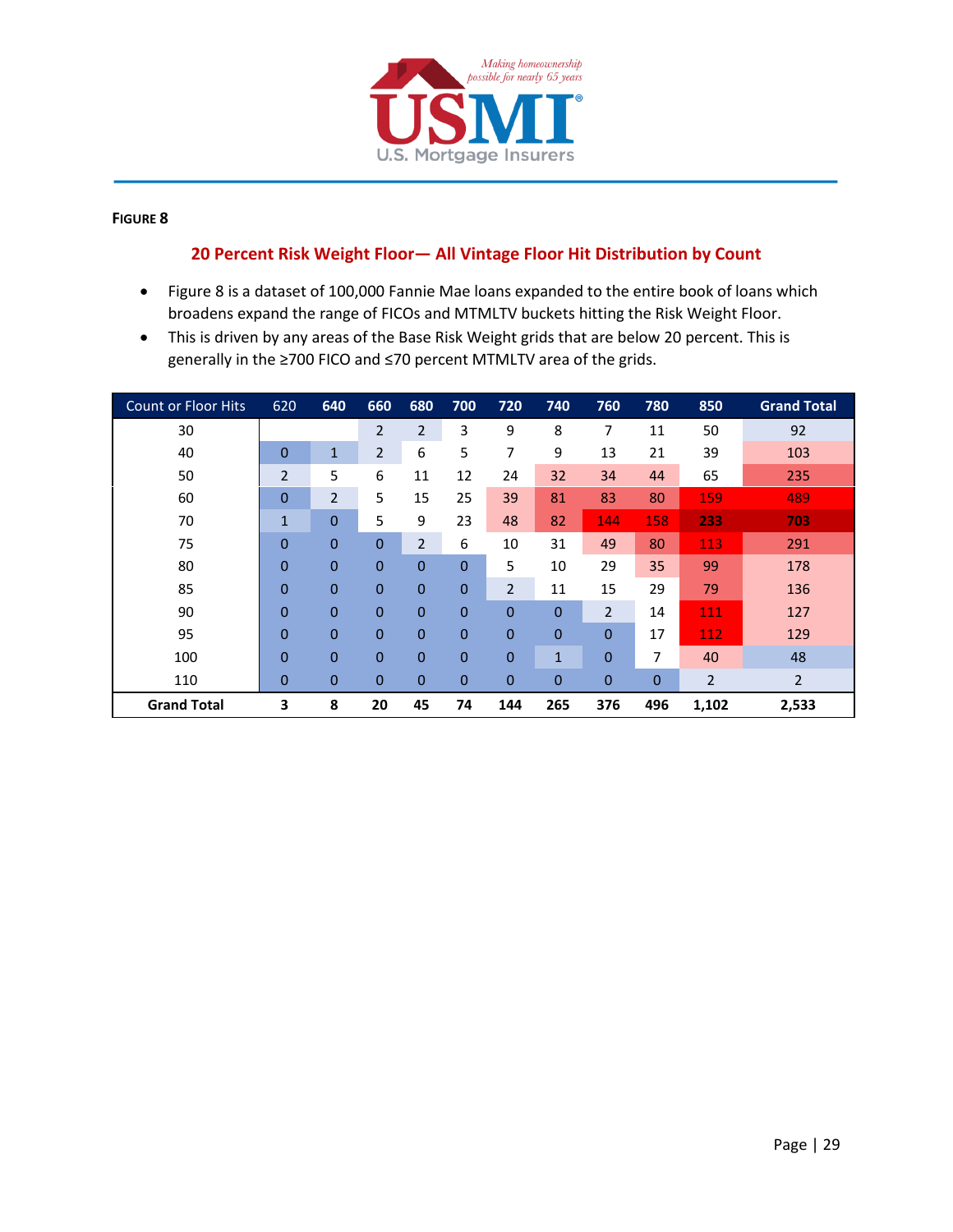

#### **FIGURE 8**

### **Percent Risk Weight Floor— All Vintage Floor Hit Distribution by Count**

- Figure 8 is a dataset of 100,000 Fannie Mae loans expanded to the entire book of loans which broadens expand the range of FICOs and MTMLTV buckets hitting the Risk Weight Floor.
- This is driven by any areas of the Base Risk Weight grids that are below 20 percent. This is generally in the ≥700 FICO and ≤70 percent MTMLTV area of the grids.

| <b>Count or Floor Hits</b> | 620            | 640            | 660            | 680            | 700            | 720            | 740            | 760            | 780            | 850   | <b>Grand Total</b> |
|----------------------------|----------------|----------------|----------------|----------------|----------------|----------------|----------------|----------------|----------------|-------|--------------------|
| 30                         |                |                | $\overline{2}$ | $\overline{2}$ | 3              | 9              | 8              | 7              | 11             | 50    | 92                 |
| 40                         | $\overline{0}$ | $\mathbf{1}$   | $\overline{2}$ | 6              | 5              | 7              | 9              | 13             | 21             | 39    | 103                |
| 50                         | $\overline{2}$ | 5              | 6              | 11             | 12             | 24             | 32             | 34             | 44             | 65    | 235                |
| 60                         | $\overline{0}$ | $\overline{2}$ | 5              | 15             | 25             | 39             | 81             | 83             | 80             | 159   | 489                |
| 70                         | $\mathbf{1}$   | $\overline{0}$ | 5              | 9              | 23             | 48             | 82             | 144            | 158            | 233   | 703                |
| 75                         | $\overline{0}$ | $\overline{0}$ | $\Omega$       | 2              | 6              | 10             | 31             | 49             | 80             | 113   | 291                |
| 80                         | $\overline{0}$ | $\mathbf{0}$   | $\mathbf{0}$   | $\overline{0}$ | $\overline{0}$ | 5              | 10             | 29             | 35             | 99    | 178                |
| 85                         | $\overline{0}$ | $\mathbf 0$    | $\mathbf{0}$   | $\overline{0}$ | $\overline{0}$ | $\overline{2}$ | 11             | 15             | 29             | 79    | 136                |
| 90                         | $\overline{0}$ | $\overline{0}$ | $\mathbf{0}$   | $\overline{0}$ | $\overline{0}$ | $\overline{0}$ | $\Omega$       | $\overline{2}$ | 14             | 111   | 127                |
| 95                         | $\overline{0}$ | $\overline{0}$ | $\mathbf{0}$   | $\overline{0}$ | $\overline{0}$ | $\overline{0}$ | $\overline{0}$ | $\Omega$       | 17             | 112   | 129                |
| 100                        | $\overline{0}$ | $\overline{0}$ | $\mathbf{0}$   | $\overline{0}$ | $\overline{0}$ | $\overline{0}$ | $\mathbf{1}$   | $\overline{0}$ | 7              | 40    | 48                 |
| 110                        | $\mathbf 0$    | $\mathbf 0$    | $\mathbf{0}$   | $\overline{0}$ | $\overline{0}$ | $\overline{0}$ | $\mathbf 0$    | $\mathbf 0$    | $\overline{0}$ | 2     | 2                  |
| <b>Grand Total</b>         | 3              | 8              | 20             | 45             | 74             | 144            | 265            | 376            | 496            | 1,102 | 2,533              |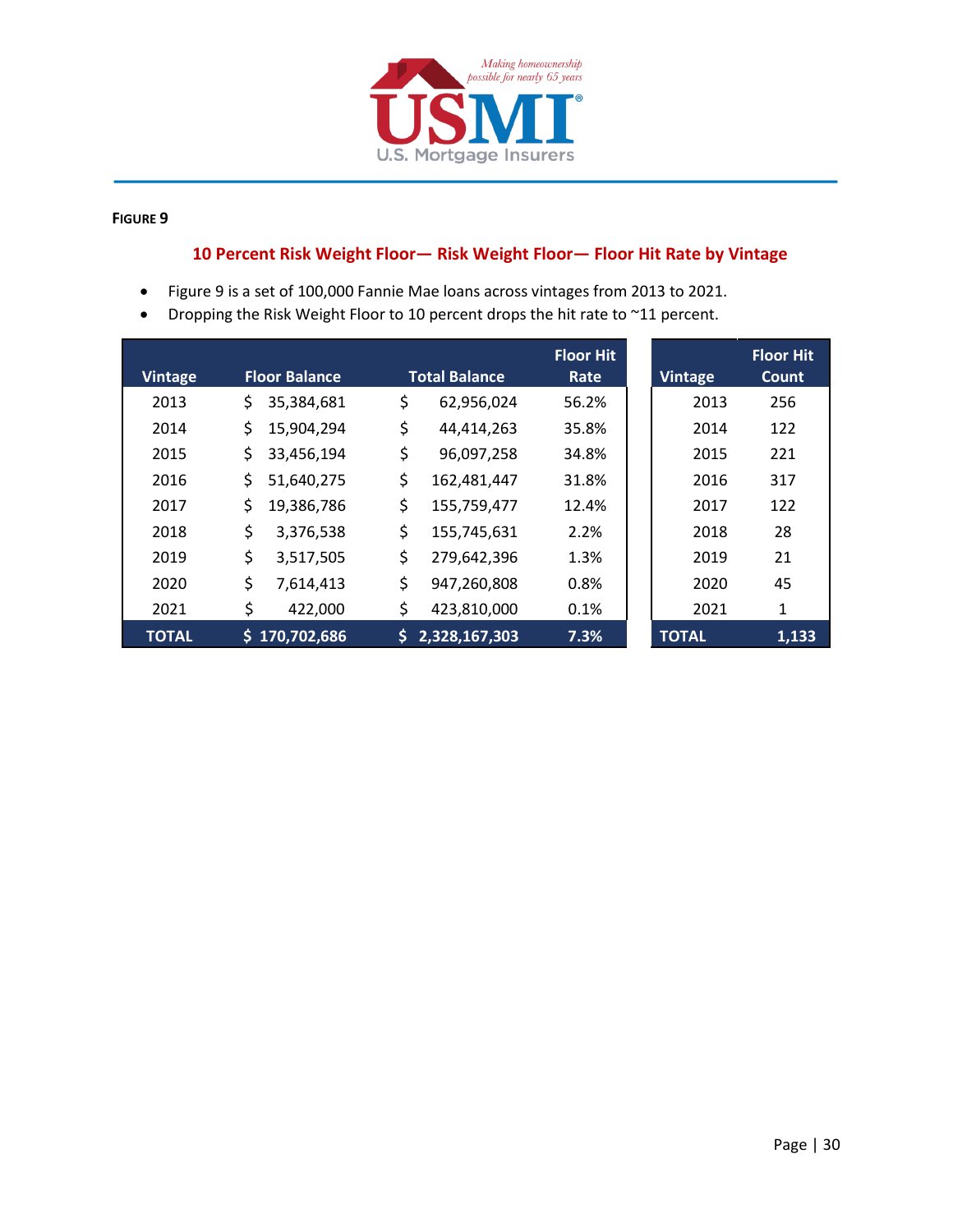

#### **FIGURE 9**

# **10 Percent Risk Weight Floor— Risk Weight Floor— Floor Hit Rate by Vintage**

- Figure 9 is a set of 100,000 Fannie Mae loans across vintages from 2013 to 2021.
- Dropping the Risk Weight Floor to 10 percent drops the hit rate to ~11 percent.

| <b>Vintage</b> | <b>Floor Balance</b> | <b>Total Balance</b> | <b>Floor Hit</b><br>Rate | <b>Vintage</b> | <b>Floor Hit</b><br>Count |
|----------------|----------------------|----------------------|--------------------------|----------------|---------------------------|
|                |                      |                      |                          |                |                           |
| 2013           | \$<br>35,384,681     | \$<br>62,956,024     | 56.2%                    | 2013           | 256                       |
| 2014           | \$<br>15,904,294     | \$<br>44,414,263     | 35.8%                    | 2014           | 122                       |
| 2015           | \$<br>33,456,194     | \$<br>96,097,258     | 34.8%                    | 2015           | 221                       |
| 2016           | \$<br>51,640,275     | \$<br>162,481,447    | 31.8%                    | 2016           | 317                       |
| 2017           | \$<br>19,386,786     | \$<br>155,759,477    | 12.4%                    | 2017           | 122                       |
| 2018           | \$<br>3,376,538      | \$<br>155,745,631    | 2.2%                     | 2018           | 28                        |
| 2019           | \$<br>3,517,505      | \$<br>279,642,396    | 1.3%                     | 2019           | 21                        |
| 2020           | \$<br>7,614,413      | \$<br>947,260,808    | 0.8%                     | 2020           | 45                        |
| 2021           | \$<br>422,000        | \$<br>423,810,000    | 0.1%                     | 2021           | 1                         |
| <b>TOTAL</b>   | \$170,702,686        | \$<br>2,328,167,303  | 7.3%                     | <b>TOTAL</b>   | 1,133                     |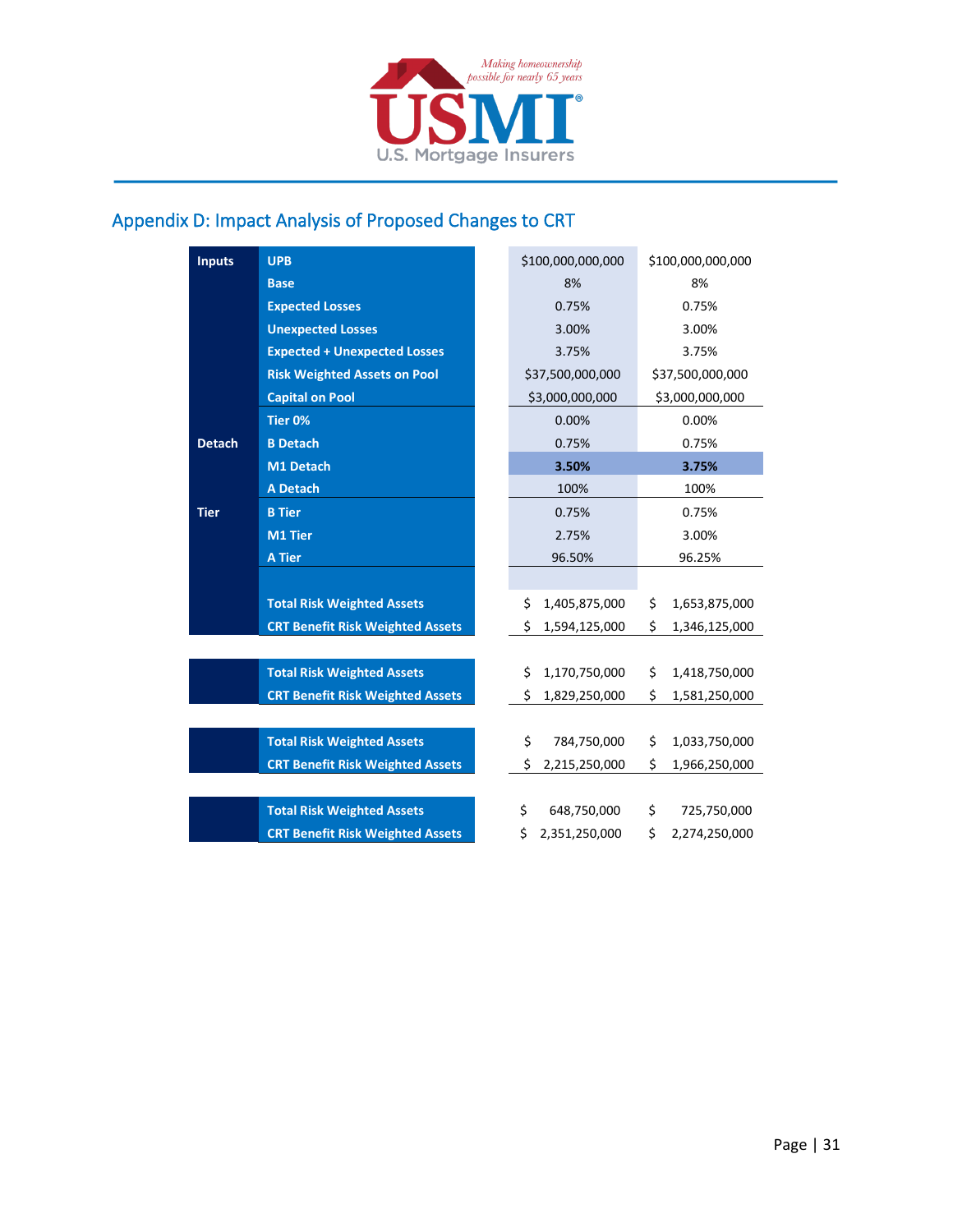

# <span id="page-30-0"></span>Appendix D: Impact Analysis of Proposed Changes to CRT

| <b>Inputs</b> | <b>UPB</b>                              | \$100,000,000,000   | \$100,000,000,000   |
|---------------|-----------------------------------------|---------------------|---------------------|
|               | <b>Base</b>                             | 8%                  | 8%                  |
|               | <b>Expected Losses</b>                  | 0.75%               | 0.75%               |
|               | <b>Unexpected Losses</b>                | 3.00%               | 3.00%               |
|               | <b>Expected + Unexpected Losses</b>     | 3.75%               | 3.75%               |
|               | <b>Risk Weighted Assets on Pool</b>     | \$37,500,000,000    | \$37,500,000,000    |
|               | <b>Capital on Pool</b>                  | \$3,000,000,000     | \$3,000,000,000     |
|               | Tier 0%                                 | 0.00%               | 0.00%               |
| <b>Detach</b> | <b>B</b> Detach                         | 0.75%               | 0.75%               |
|               | M1 Detach                               | 3.50%               | 3.75%               |
|               | <b>A Detach</b>                         | 100%                | 100%                |
| <b>Tier</b>   | <b>B</b> Tier                           | 0.75%               | 0.75%               |
|               | M1 Tier                                 | 2.75%               | 3.00%               |
|               | <b>A Tier</b>                           | 96.50%              | 96.25%              |
|               |                                         |                     |                     |
|               | <b>Total Risk Weighted Assets</b>       | \$<br>1,405,875,000 | \$<br>1,653,875,000 |
|               | <b>CRT Benefit Risk Weighted Assets</b> | \$<br>1,594,125,000 | \$<br>1,346,125,000 |
|               |                                         |                     |                     |
|               | <b>Total Risk Weighted Assets</b>       | \$<br>1,170,750,000 | \$<br>1,418,750,000 |
|               | <b>CRT Benefit Risk Weighted Assets</b> | Ś.<br>1,829,250,000 | \$<br>1,581,250,000 |
|               |                                         |                     |                     |
|               | <b>Total Risk Weighted Assets</b>       | \$<br>784,750,000   | \$<br>1,033,750,000 |
|               | <b>CRT Benefit Risk Weighted Assets</b> | Ś.<br>2,215,250,000 | \$<br>1,966,250,000 |
|               |                                         |                     |                     |
|               | <b>Total Risk Weighted Assets</b>       | \$<br>648,750,000   | \$<br>725,750,000   |
|               | <b>CRT Benefit Risk Weighted Assets</b> | \$<br>2,351,250,000 | \$<br>2,274,250,000 |